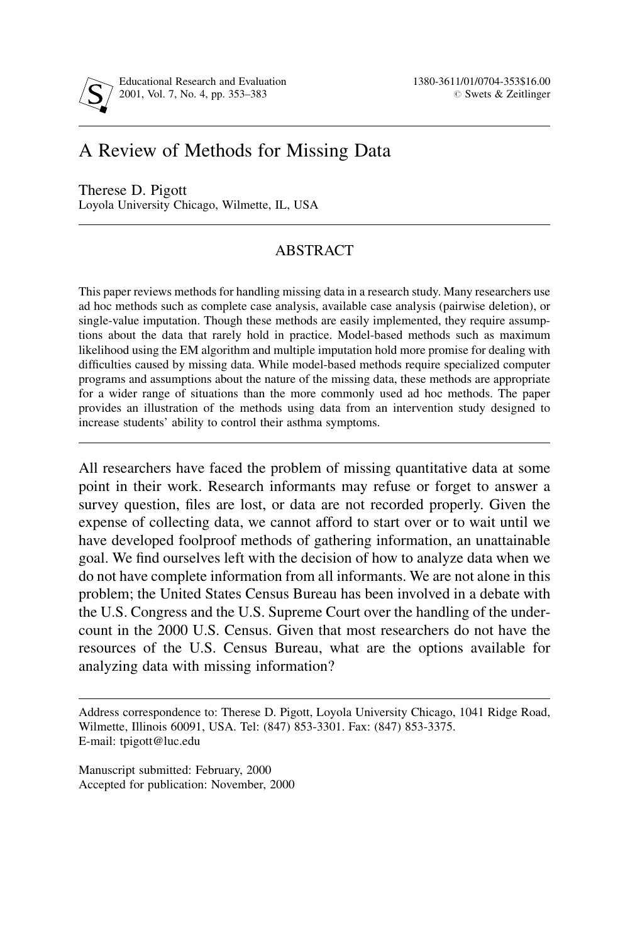

# A Review of Methods for Missing Data

Therese D. Pigott Loyola University Chicago, Wilmette, IL, USA

# ABSTRACT

This paper reviews methods for handling missing data in a research study. Many researchers use ad hoc methods such as complete case analysis, available case analysis (pairwise deletion), or single-value imputation. Though these methods are easily implemented, they require assumptions about the data that rarely hold in practice. Model-based methods such as maximum likelihood using the EM algorithm and multiple imputation hold more promise for dealing with difficulties caused by missing data. While model-based methods require specialized computer programs and assumptions about the nature of the missing data, these methods are appropriate for a wider range of situations than the more commonly used ad hoc methods. The paper provides an illustration of the methods using data from an intervention study designed to increase students' ability to control their asthma symptoms.

All researchers have faced the problem of missing quantitative data at some point in their work. Research informants may refuse or forget to answer a survey question, files are lost, or data are not recorded properly. Given the expense of collecting data, we cannot afford to start over or to wait until we have developed foolproof methods of gathering information, an unattainable goal. We find ourselves left with the decision of how to analyze data when we do not have complete information from all informants. We are not alone in this problem; the United States Census Bureau has been involved in a debate with the U.S. Congress and the U.S. Supreme Court over the handling of the undercount in the 2000 U.S. Census. Given that most researchers do not have the resources of the U.S. Census Bureau, what are the options available for analyzing data with missing information?

Address correspondence to: Therese D. Pigott, Loyola University Chicago, 1041 Ridge Road, Wilmette, Illinois 60091, USA. Tel: (847) 853-3301. Fax: (847) 853-3375. E-mail: tpigott@luc.edu

Manuscript submitted: February, 2000 Accepted for publication: November, 2000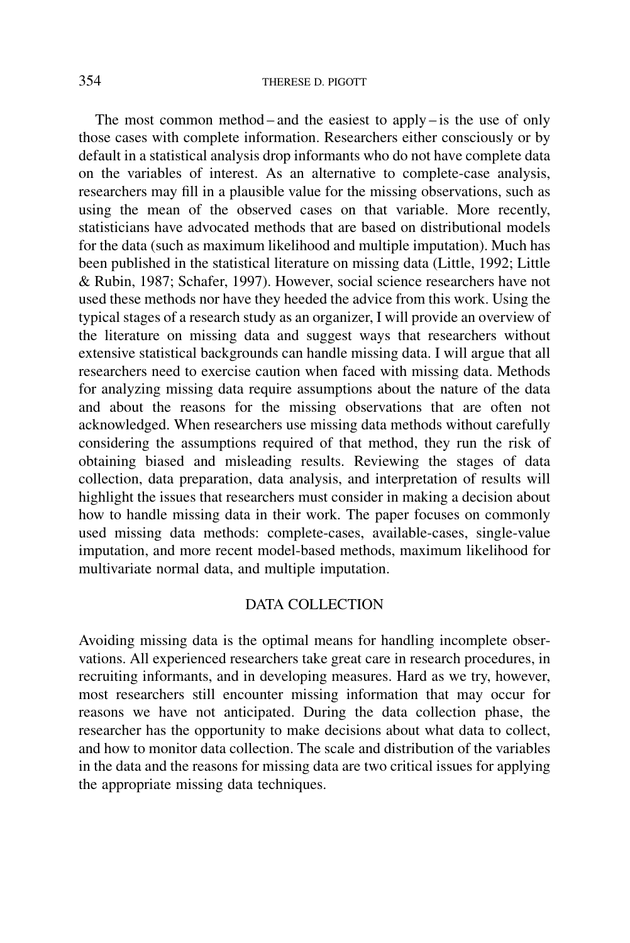The most common method  $-\text{and}$  the easiest to apply  $-\text{is}$  the use of only those cases with complete information. Researchers either consciously or by default in a statistical analysis drop informants who do not have complete data on the variables of interest. As an alternative to complete-case analysis, researchers may fill in a plausible value for the missing observations, such as using the mean of the observed cases on that variable. More recently, statisticians have advocated methods that are based on distributional models for the data (such as maximum likelihood and multiple imputation). Much has been published in the statistical literature on missing data (Little, 1992; Little & Rubin, 1987; Schafer, 1997). However, social science researchers have not used these methods nor have they heeded the advice from this work. Using the typical stages of a research study as an organizer, I will provide an overview of the literature on missing data and suggest ways that researchers without extensive statistical backgrounds can handle missing data. I will argue that all researchers need to exercise caution when faced with missing data. Methods for analyzing missing data require assumptions about the nature of the data and about the reasons for the missing observations that are often not acknowledged. When researchers use missing data methods without carefully considering the assumptions required of that method, they run the risk of obtaining biased and misleading results. Reviewing the stages of data collection, data preparation, data analysis, and interpretation of results will highlight the issues that researchers must consider in making a decision about how to handle missing data in their work. The paper focuses on commonly used missing data methods: complete-cases, available-cases, single-value imputation, and more recent model-based methods, maximum likelihood for multivariate normal data, and multiple imputation.

## DATA COLLECTION

Avoiding missing data is the optimal means for handling incomplete observations. All experienced researchers take great care in research procedures, in recruiting informants, and in developing measures. Hard as we try, however, most researchers still encounter missing information that may occur for reasons we have not anticipated. During the data collection phase, the researcher has the opportunity to make decisions about what data to collect, and how to monitor data collection. The scale and distribution of the variables in the data and the reasons for missing data are two critical issues for applying the appropriate missing data techniques.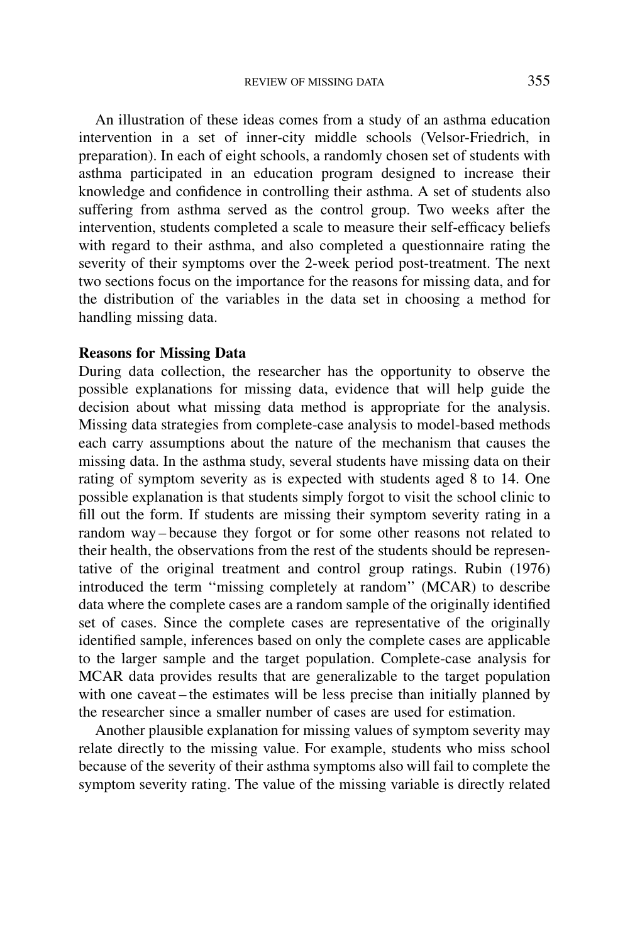An illustration of these ideas comes from a study of an asthma education intervention in a set of inner-city middle schools (Velsor-Friedrich, in preparation). In each of eight schools, a randomly chosen set of students with asthma participated in an education program designed to increase their knowledge and confidence in controlling their asthma. A set of students also suffering from asthma served as the control group. Two weeks after the intervention, students completed a scale to measure their self-efficacy beliefs with regard to their asthma, and also completed a questionnaire rating the severity of their symptoms over the 2-week period post-treatment. The next two sections focus on the importance for the reasons for missing data, and for the distribution of the variables in the data set in choosing a method for handling missing data.

#### Reasons for Missing Data

During data collection, the researcher has the opportunity to observe the possible explanations for missing data, evidence that will help guide the decision about what missing data method is appropriate for the analysis. Missing data strategies from complete-case analysis to model-based methods each carry assumptions about the nature of the mechanism that causes the missing data. In the asthma study, several students have missing data on their rating of symptom severity as is expected with students aged 8 to 14. One possible explanation is that students simply forgot to visit the school clinic to fill out the form. If students are missing their symptom severity rating in a random way-because they forgot or for some other reasons not related to their health, the observations from the rest of the students should be representative of the original treatment and control group ratings. Rubin (1976) introduced the term "missing completely at random" (MCAR) to describe data where the complete cases are a random sample of the originally identified set of cases. Since the complete cases are representative of the originally identified sample, inferences based on only the complete cases are applicable to the larger sample and the target population. Complete-case analysis for MCAR data provides results that are generalizable to the target population with one caveat – the estimates will be less precise than initially planned by the researcher since a smaller number of cases are used for estimation.

Another plausible explanation for missing values of symptom severity may relate directly to the missing value. For example, students who miss school because of the severity of their asthma symptoms also will fail to complete the symptom severity rating. The value of the missing variable is directly related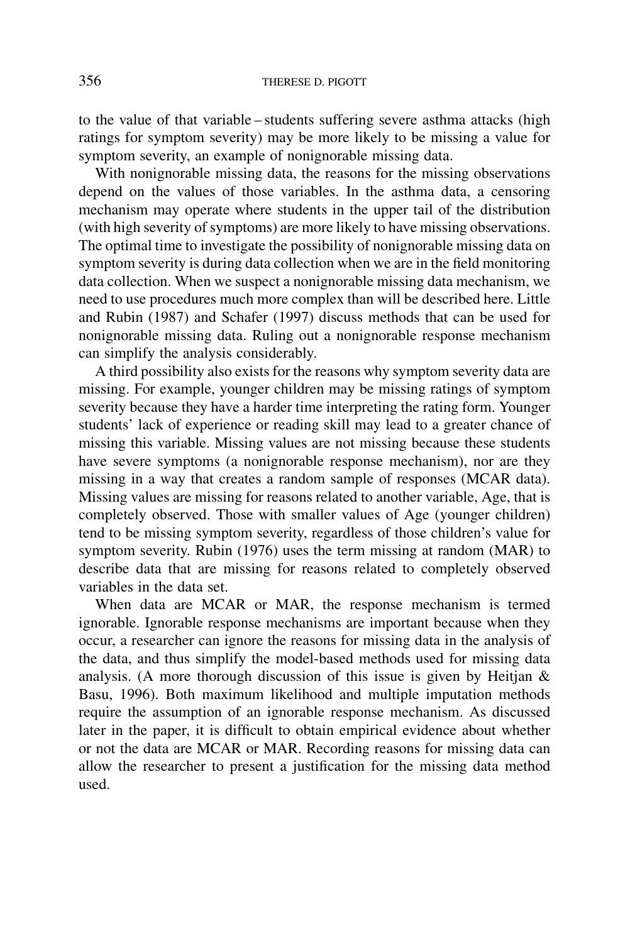to the value of that variable – students suffering severe asthma attacks (high ratings for symptom severity) may be more likely to be missing a value for symptom severity, an example of nonignorable missing data.

With nonignorable missing data, the reasons for the missing observations depend on the values of those variables. In the asthma data, a censoring mechanism may operate where students in the upper tail of the distribution (with high severity of symptoms) are more likely to have missing observations. The optimal time to investigate the possibility of nonignorable missing data on symptom severity is during data collection when we are in the field monitoring data collection. When we suspect a nonignorable missing data mechanism, we need to use procedures much more complex than will be described here. Little and Rubin (1987) and Schafer (1997) discuss methods that can be used for nonignorable missing data. Ruling out a nonignorable response mechanism can simplify the analysis considerably.

A third possibility also exists for the reasons why symptom severity data are missing. For example, younger children may be missing ratings of symptom severity because they have a harder time interpreting the rating form. Younger students' lack of experience or reading skill may lead to a greater chance of missing this variable. Missing values are not missing because these students have severe symptoms (a nonignorable response mechanism), nor are they missing in a way that creates a random sample of responses (MCAR data). Missing values are missing for reasons related to another variable, Age, that is completely observed. Those with smaller values of Age (younger children) tend to be missing symptom severity, regardless of those children's value for symptom severity. Rubin (1976) uses the term missing at random (MAR) to describe data that are missing for reasons related to completely observed variables in the data set.

When data are MCAR or MAR, the response mechanism is termed ignorable. Ignorable response mechanisms are important because when they occur, a researcher can ignore the reasons for missing data in the analysis of the data, and thus simplify the model-based methods used for missing data analysis. (A more thorough discussion of this issue is given by Heitjan & Basu, 1996). Both maximum likelihood and multiple imputation methods require the assumption of an ignorable response mechanism. As discussed later in the paper, it is difficult to obtain empirical evidence about whether or not the data are MCAR or MAR. Recording reasons for missing data can allow the researcher to present a justification for the missing data method used.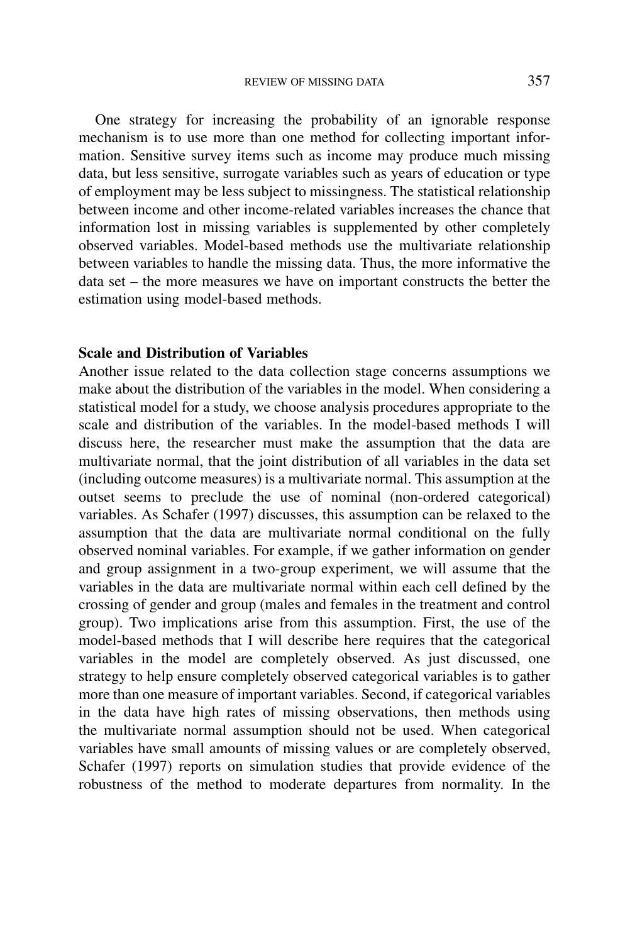One strategy for increasing the probability of an ignorable response mechanism is to use more than one method for collecting important information. Sensitive survey items such as income may produce much missing data, but less sensitive, surrogate variables such as years of education or type of employment may be less subject to missingness. The statistical relationship between income and other income-related variables increases the chance that information lost in missing variables is supplemented by other completely observed variables. Model-based methods use the multivariate relationship between variables to handle the missing data. Thus, the more informative the  $data set - the more measures we have on important constructs the better the$ estimation using model-based methods.

#### Scale and Distribution of Variables

Another issue related to the data collection stage concerns assumptions we make about the distribution of the variables in the model. When considering a statistical model for a study, we choose analysis procedures appropriate to the scale and distribution of the variables. In the model-based methods I will discuss here, the researcher must make the assumption that the data are multivariate normal, that the joint distribution of all variables in the data set (including outcome measures) is a multivariate normal. This assumption at the outset seems to preclude the use of nominal (non-ordered categorical) variables. As Schafer (1997) discusses, this assumption can be relaxed to the assumption that the data are multivariate normal conditional on the fully observed nominal variables. For example, if we gather information on gender and group assignment in a two-group experiment, we will assume that the variables in the data are multivariate normal within each cell defined by the crossing of gender and group (males and females in the treatment and control group). Two implications arise from this assumption. First, the use of the model-based methods that I will describe here requires that the categorical variables in the model are completely observed. As just discussed, one strategy to help ensure completely observed categorical variables is to gather more than one measure of important variables. Second, if categorical variables in the data have high rates of missing observations, then methods using the multivariate normal assumption should not be used. When categorical variables have small amounts of missing values or are completely observed, Schafer (1997) reports on simulation studies that provide evidence of the robustness of the method to moderate departures from normality. In the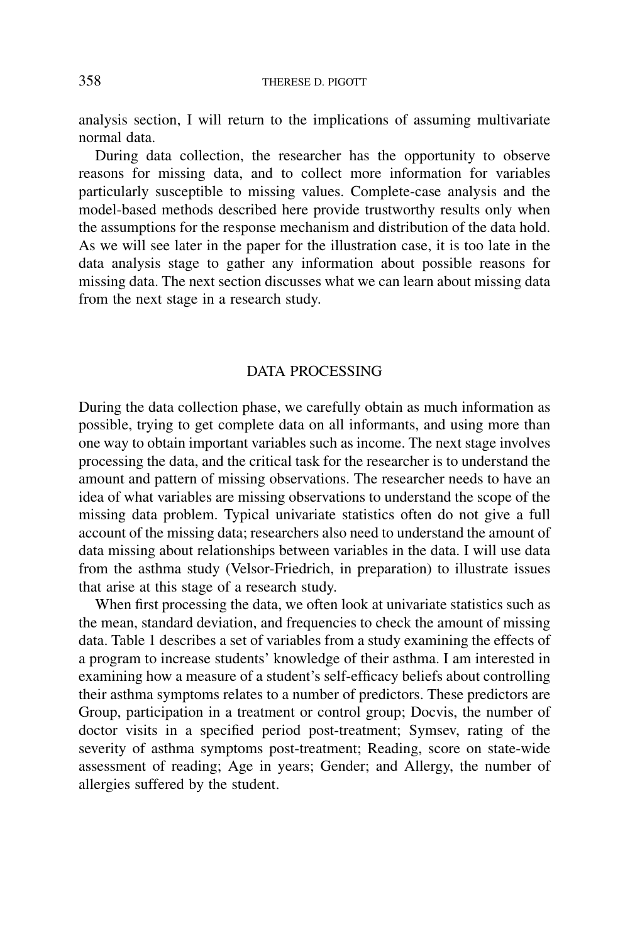analysis section, I will return to the implications of assuming multivariate normal data.

During data collection, the researcher has the opportunity to observe reasons for missing data, and to collect more information for variables particularly susceptible to missing values. Complete-case analysis and the model-based methods described here provide trustworthy results only when the assumptions for the response mechanism and distribution of the data hold. As we will see later in the paper for the illustration case, it is too late in the data analysis stage to gather any information about possible reasons for missing data. The next section discusses what we can learn about missing data from the next stage in a research study.

## DATA PROCESSING

During the data collection phase, we carefully obtain as much information as possible, trying to get complete data on all informants, and using more than one way to obtain important variables such as income. The next stage involves processing the data, and the critical task for the researcher is to understand the amount and pattern of missing observations. The researcher needs to have an idea of what variables are missing observations to understand the scope of the missing data problem. Typical univariate statistics often do not give a full account of the missing data; researchers also need to understand the amount of data missing about relationships between variables in the data. I will use data from the asthma study (Velsor-Friedrich, in preparation) to illustrate issues that arise at this stage of a research study.

When first processing the data, we often look at univariate statistics such as the mean, standard deviation, and frequencies to check the amount of missing data. Table 1 describes a set of variables from a study examining the effects of a program to increase students' knowledge of their asthma. I am interested in examining how a measure of a student's self-efficacy beliefs about controlling their asthma symptoms relates to a number of predictors. These predictors are Group, participation in a treatment or control group; Docvis, the number of doctor visits in a specified period post-treatment; Symsev, rating of the severity of asthma symptoms post-treatment; Reading, score on state-wide assessment of reading; Age in years; Gender; and Allergy, the number of allergies suffered by the student.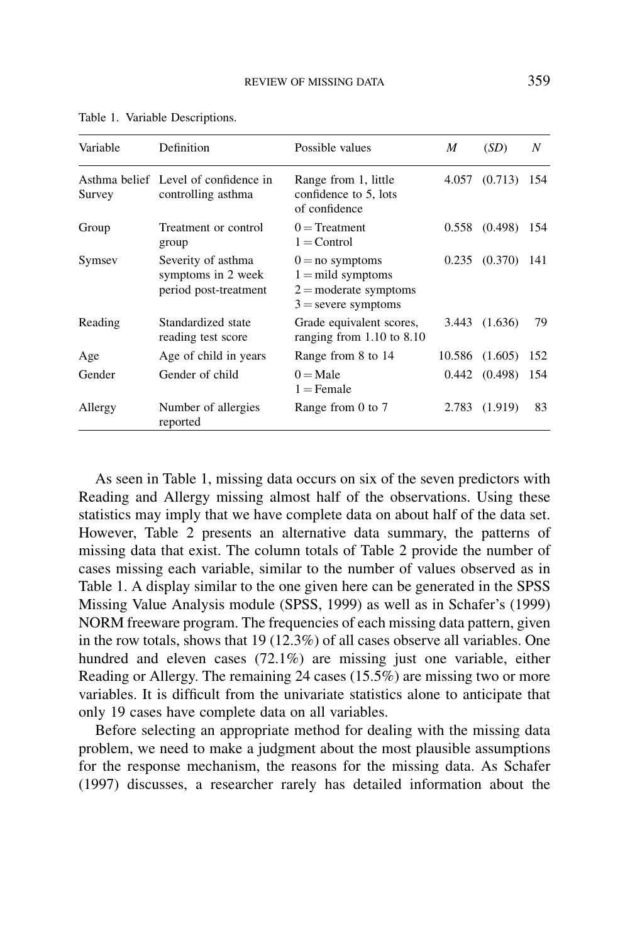| Variable | Definition                                                        | Possible values                                                                              | M      | (SD)              | N     |
|----------|-------------------------------------------------------------------|----------------------------------------------------------------------------------------------|--------|-------------------|-------|
| Survey   | Asthma belief Level of confidence in<br>controlling asthma        | Range from 1, little<br>confidence to 5, lots<br>of confidence                               | 4.057  | (0.713)           | - 154 |
| Group    | Treatment or control<br>group                                     | $0$ = Treatment<br>$1 =$ Control                                                             | 0.558  | (0.498)           | 154   |
| Symsey   | Severity of asthma<br>symptoms in 2 week<br>period post-treatment | $0 = no$ symptoms<br>$1 =$ mild symptoms<br>$2 =$ moderate symptoms<br>$3$ = severe symptoms | 0.235  | (0.370)           | 141   |
| Reading  | Standardized state<br>reading test score                          | Grade equivalent scores,<br>ranging from $1.10$ to $8.10$                                    |        | 3.443 (1.636)     | 79    |
| Age      | Age of child in years                                             | Range from 8 to 14                                                                           | 10.586 | (1.605)           | 152   |
| Gender   | Gender of child                                                   | $0 =$ Male<br>$1 =$ Female                                                                   |        | $0.442$ $(0.498)$ | 154   |
| Allergy  | Number of allergies<br>reported                                   | Range from 0 to 7                                                                            | 2.783  | (1.919)           | 83    |

Table 1. Variable Descriptions.

As seen in Table 1, missing data occurs on six of the seven predictors with Reading and Allergy missing almost half of the observations. Using these statistics may imply that we have complete data on about half of the data set. However, Table 2 presents an alternative data summary, the patterns of missing data that exist. The column totals of Table 2 provide the number of cases missing each variable, similar to the number of values observed as in Table 1. A display similar to the one given here can be generated in the SPSS Missing Value Analysis module (SPSS, 1999) as well as in Schafer's (1999) NORM freeware program. The frequencies of each missing data pattern, given in the row totals, shows that 19 (12.3%) of all cases observe all variables. One hundred and eleven cases (72.1%) are missing just one variable, either Reading or Allergy. The remaining 24 cases (15.5%) are missing two or more variables. It is difficult from the univariate statistics alone to anticipate that only 19 cases have complete data on all variables.

Before selecting an appropriate method for dealing with the missing data problem, we need to make a judgment about the most plausible assumptions for the response mechanism, the reasons for the missing data. As Schafer (1997) discusses, a researcher rarely has detailed information about the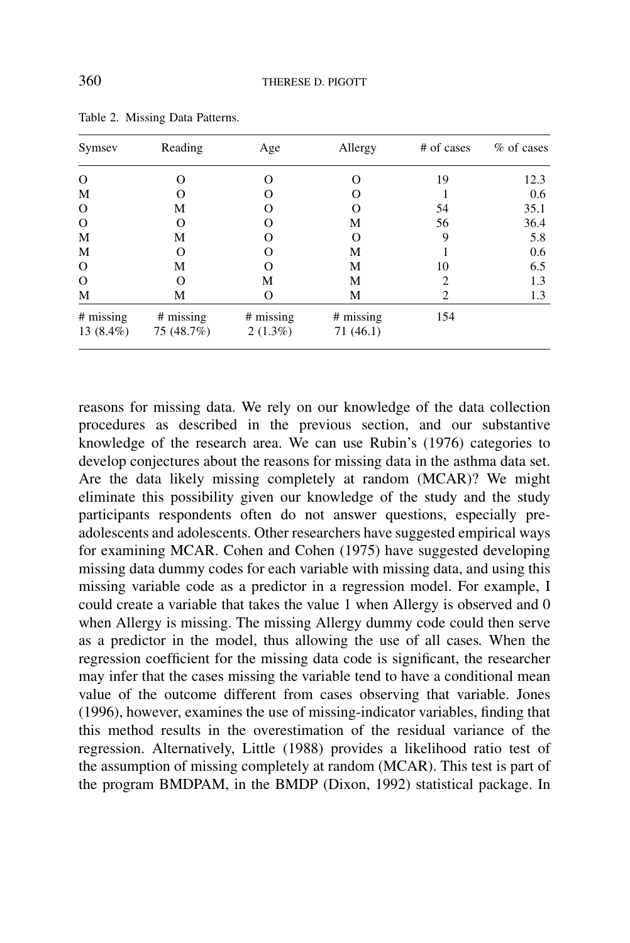| Symsev       | Reading     | Age                 | Allergy     | # of cases     | $%$ of cases |
|--------------|-------------|---------------------|-------------|----------------|--------------|
| $\mathbf{O}$ |             |                     |             | 19             | 12.3         |
| M            | Ω           | റ                   | 0           |                | 0.6          |
| O            | М           |                     | O           | 54             | 35.1         |
| $\mathbf{O}$ | Ω           |                     | М           | 56             | 36.4         |
| M            | М           |                     | О           | 9              | 5.8          |
| M            | O           |                     | М           |                | 0.6          |
| $\mathbf{O}$ | М           | $\scriptstyle\rm ($ | М           | 10             | 6.5          |
| $\mathbf{O}$ | Ω           | М                   | М           | $\overline{2}$ | 1.3          |
| M            | М           | റ                   | М           | $\overline{2}$ | 1.3          |
| # missing    | $#$ missing | $#$ missing         | $#$ missing | 154            |              |
| 13 $(8.4\%)$ | 75 (48.7%)  | $2(1.3\%)$          | 71 (46.1)   |                |              |

Table 2. Missing Data Patterns.

reasons for missing data. We rely on our knowledge of the data collection procedures as described in the previous section, and our substantive knowledge of the research area. We can use Rubin's (1976) categories to develop conjectures about the reasons for missing data in the asthma data set. Are the data likely missing completely at random (MCAR)? We might eliminate this possibility given our knowledge of the study and the study participants respondents often do not answer questions, especially preadolescents and adolescents. Other researchers have suggested empirical ways for examining MCAR. Cohen and Cohen (1975) have suggested developing missing data dummy codes for each variable with missing data, and using this missing variable code as a predictor in a regression model. For example, I could create a variable that takes the value 1 when Allergy is observed and 0 when Allergy is missing. The missing Allergy dummy code could then serve as a predictor in the model, thus allowing the use of all cases. When the regression coefficient for the missing data code is significant, the researcher may infer that the cases missing the variable tend to have a conditional mean value of the outcome different from cases observing that variable. Jones  $(1996)$ , however, examines the use of missing-indicator variables, finding that this method results in the overestimation of the residual variance of the regression. Alternatively, Little (1988) provides a likelihood ratio test of the assumption of missing completely at random (MCAR). This test is part of the program BMDPAM, in the BMDP (Dixon, 1992) statistical package. In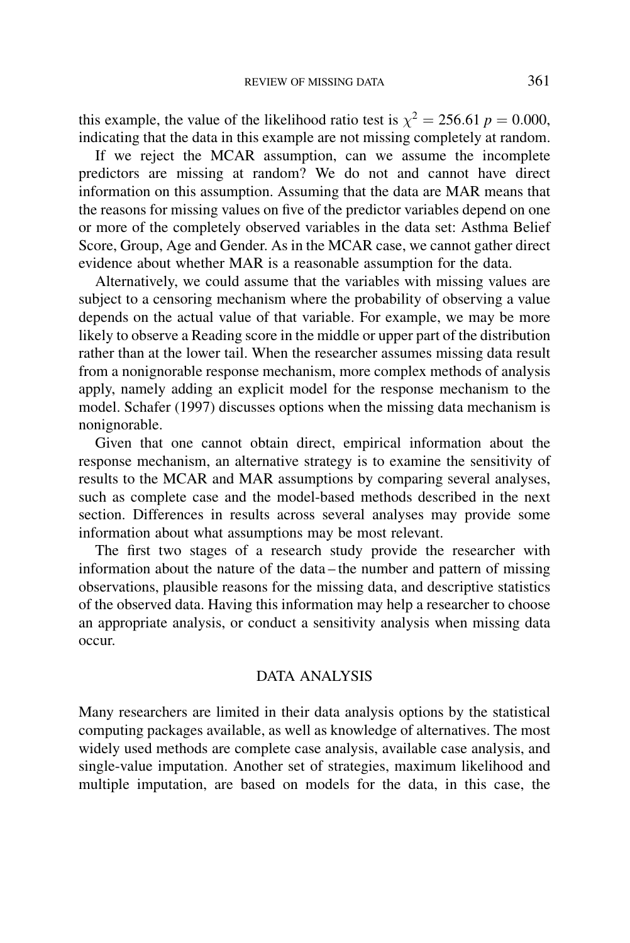this example, the value of the likelihood ratio test is  $\chi^2 = 256.61 \ p = 0.000$ , indicating that the data in this example are not missing completely at random.

If we reject the MCAR assumption, can we assume the incomplete predictors are missing at random? We do not and cannot have direct information on this assumption. Assuming that the data are MAR means that the reasons for missing values on five of the predictor variables depend on one or more of the completely observed variables in the data set: Asthma Belief Score, Group, Age and Gender. As in the MCAR case, we cannot gather direct evidence about whether MAR is a reasonable assumption for the data.

Alternatively, we could assume that the variables with missing values are subject to a censoring mechanism where the probability of observing a value depends on the actual value of that variable. For example, we may be more likely to observe a Reading score in the middle or upper part of the distribution rather than at the lower tail. When the researcher assumes missing data result from a nonignorable response mechanism, more complex methods of analysis apply, namely adding an explicit model for the response mechanism to the model. Schafer (1997) discusses options when the missing data mechanism is nonignorable.

Given that one cannot obtain direct, empirical information about the response mechanism, an alternative strategy is to examine the sensitivity of results to the MCAR and MAR assumptions by comparing several analyses, such as complete case and the model-based methods described in the next section. Differences in results across several analyses may provide some information about what assumptions may be most relevant.

The first two stages of a research study provide the researcher with information about the nature of the data – the number and pattern of missing observations, plausible reasons for the missing data, and descriptive statistics of the observed data. Having this information may help a researcher to choose an appropriate analysis, or conduct a sensitivity analysis when missing data occur.

## DATA ANALYSIS

Many researchers are limited in their data analysis options by the statistical computing packages available, as well as knowledge of alternatives. The most widely used methods are complete case analysis, available case analysis, and single-value imputation. Another set of strategies, maximum likelihood and multiple imputation, are based on models for the data, in this case, the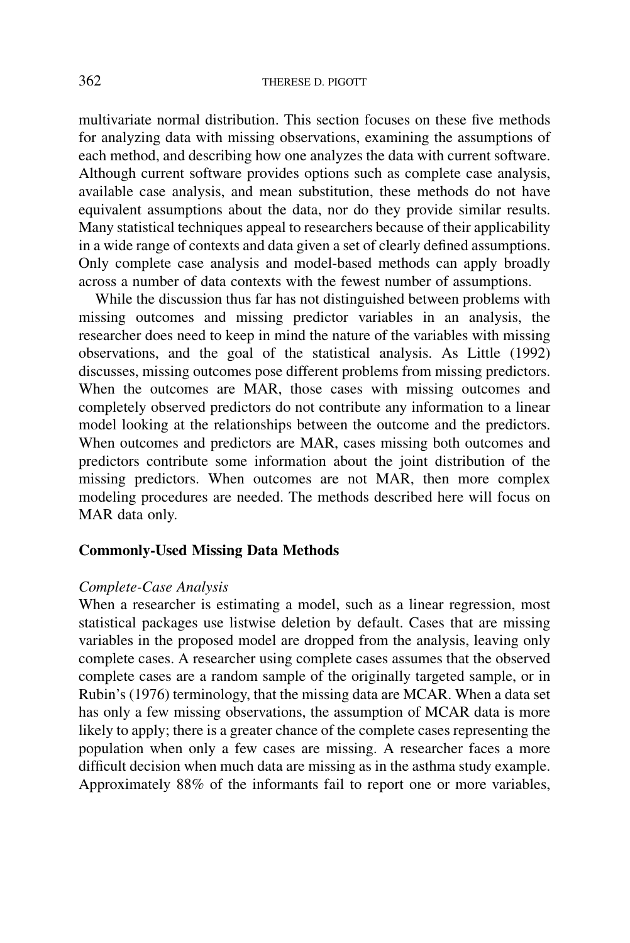multivariate normal distribution. This section focuses on these five methods for analyzing data with missing observations, examining the assumptions of each method, and describing how one analyzes the data with current software. Although current software provides options such as complete case analysis, available case analysis, and mean substitution, these methods do not have equivalent assumptions about the data, nor do they provide similar results. Many statistical techniques appeal to researchers because of their applicability in a wide range of contexts and data given a set of clearly defined assumptions. Only complete case analysis and model-based methods can apply broadly across a number of data contexts with the fewest number of assumptions.

While the discussion thus far has not distinguished between problems with missing outcomes and missing predictor variables in an analysis, the researcher does need to keep in mind the nature of the variables with missing observations, and the goal of the statistical analysis. As Little (1992) discusses, missing outcomes pose different problems from missing predictors. When the outcomes are MAR, those cases with missing outcomes and completely observed predictors do not contribute any information to a linear model looking at the relationships between the outcome and the predictors. When outcomes and predictors are MAR, cases missing both outcomes and predictors contribute some information about the joint distribution of the missing predictors. When outcomes are not MAR, then more complex modeling procedures are needed. The methods described here will focus on MAR data only.

## Commonly-Used Missing Data Methods

#### Complete-Case Analysis

When a researcher is estimating a model, such as a linear regression, most statistical packages use listwise deletion by default. Cases that are missing variables in the proposed model are dropped from the analysis, leaving only complete cases. A researcher using complete cases assumes that the observed complete cases are a random sample of the originally targeted sample, or in Rubin's (1976) terminology, that the missing data are MCAR. When a data set has only a few missing observations, the assumption of MCAR data is more likely to apply; there is a greater chance of the complete cases representing the population when only a few cases are missing. A researcher faces a more difficult decision when much data are missing as in the asthma study example. Approximately 88% of the informants fail to report one or more variables,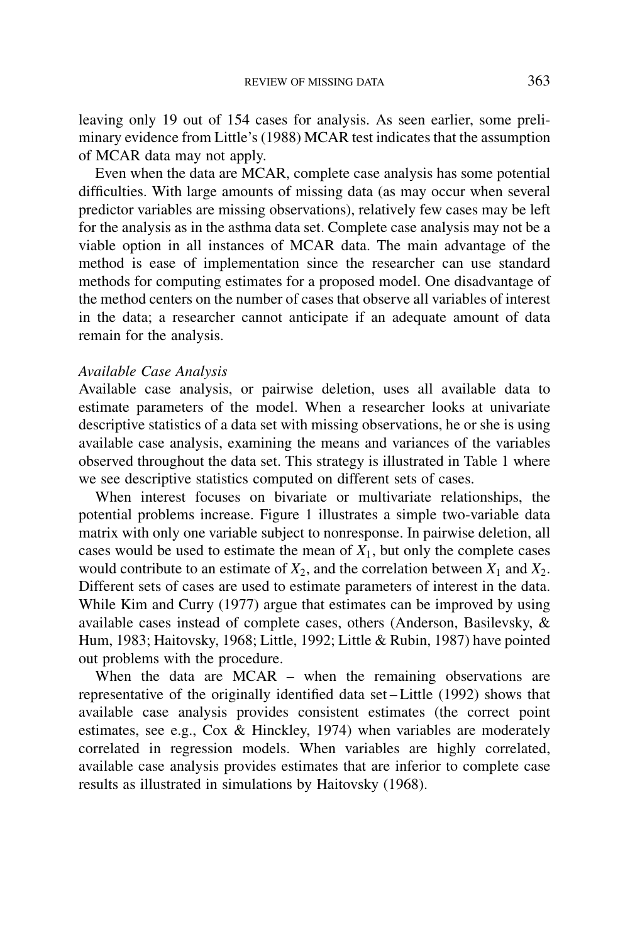leaving only 19 out of 154 cases for analysis. As seen earlier, some preliminary evidence from Little's (1988) MCAR test indicates that the assumption of MCAR data may not apply.

Even when the data are MCAR, complete case analysis has some potential difficulties. With large amounts of missing data (as may occur when several predictor variables are missing observations), relatively few cases may be left for the analysis as in the asthma data set. Complete case analysis may not be a viable option in all instances of MCAR data. The main advantage of the method is ease of implementation since the researcher can use standard methods for computing estimates for a proposed model. One disadvantage of the method centers on the number of cases that observe all variables of interest in the data; a researcher cannot anticipate if an adequate amount of data remain for the analysis.

#### Available Case Analysis

Available case analysis, or pairwise deletion, uses all available data to estimate parameters of the model. When a researcher looks at univariate descriptive statistics of a data set with missing observations, he or she is using available case analysis, examining the means and variances of the variables observed throughout the data set. This strategy is illustrated in Table 1 where we see descriptive statistics computed on different sets of cases.

When interest focuses on bivariate or multivariate relationships, the potential problems increase. Figure 1 illustrates a simple two-variable data matrix with only one variable subject to nonresponse. In pairwise deletion, all cases would be used to estimate the mean of  $X_1$ , but only the complete cases would contribute to an estimate of  $X_2$ , and the correlation between  $X_1$  and  $X_2$ . Different sets of cases are used to estimate parameters of interest in the data. While Kim and Curry (1977) argue that estimates can be improved by using available cases instead of complete cases, others (Anderson, Basilevsky, & Hum, 1983; Haitovsky, 1968; Little, 1992; Little & Rubin, 1987) have pointed out problems with the procedure.

When the data are  $MCAR -$  when the remaining observations are representative of the originally identified data set  $-Little (1992)$  shows that available case analysis provides consistent estimates (the correct point estimates, see e.g., Cox & Hinckley, 1974) when variables are moderately correlated in regression models. When variables are highly correlated, available case analysis provides estimates that are inferior to complete case results as illustrated in simulations by Haitovsky (1968).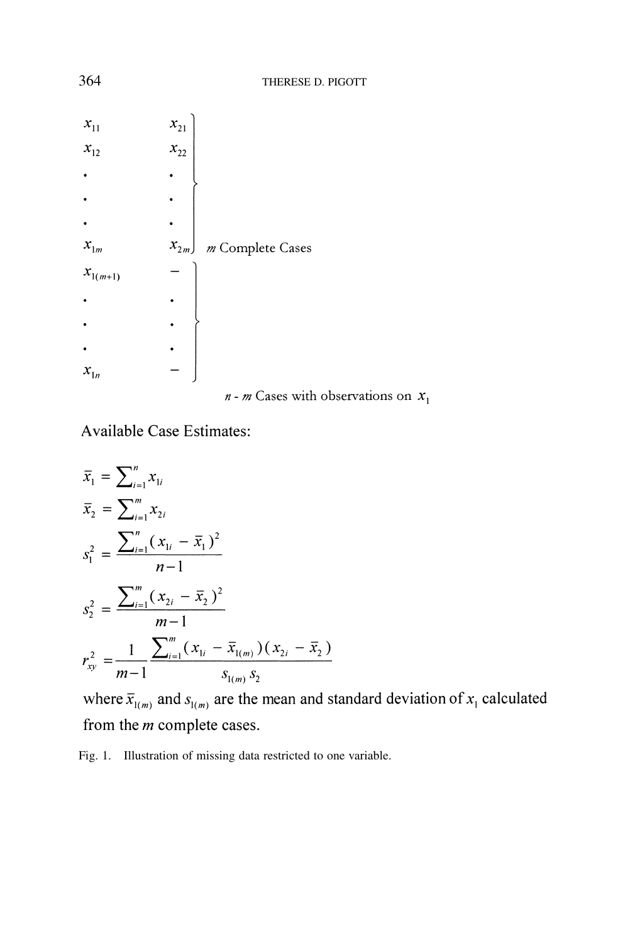

 $n - m$  Cases with observations on  $x_1$ 

**Available Case Estimates:** 

$$
\overline{x}_1 = \sum_{i=1}^n x_{1i}
$$
\n
$$
\overline{x}_2 = \sum_{i=1}^m x_{2i}
$$
\n
$$
s_1^2 = \frac{\sum_{i=1}^m (x_{1i} - \overline{x}_1)^2}{n-1}
$$
\n
$$
s_2^2 = \frac{\sum_{i=1}^m (x_{2i} - \overline{x}_2)^2}{m-1}
$$
\n
$$
r_{xy}^2 = \frac{1}{m-1} \frac{\sum_{i=1}^m (x_{1i} - \overline{x}_{1(m)}) (x_{2i} - \overline{x}_2)}{s_{1(m)} s_2}
$$

where  $\bar{x}_{1(m)}$  and  $s_{1(m)}$  are the mean and standard deviation of  $x_1$  calculated from the  $m$  complete cases.

Fig. 1. Illustration of missing data restricted to one variable.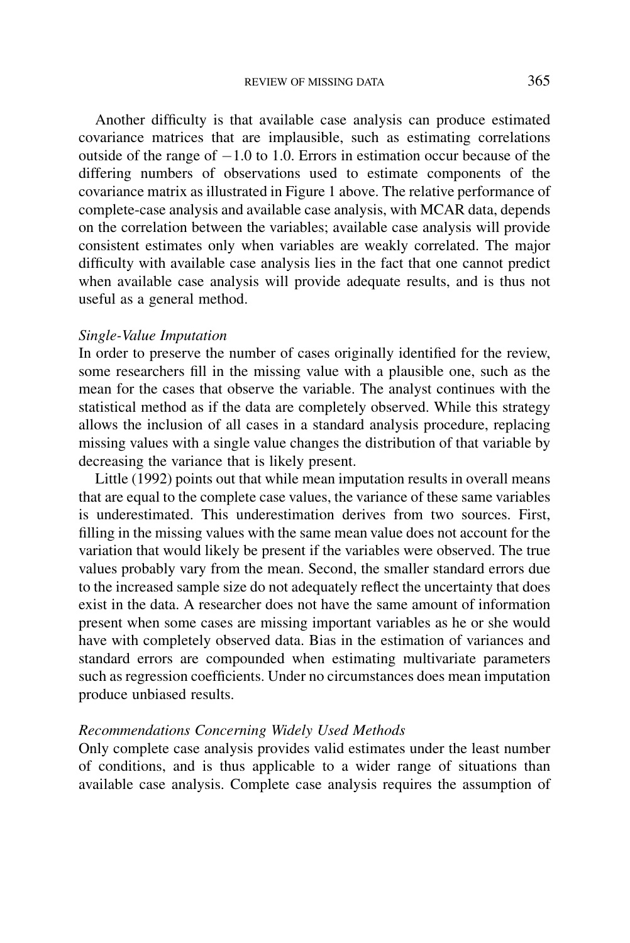Another difficulty is that available case analysis can produce estimated covariance matrices that are implausible, such as estimating correlations outside of the range of  $-1.0$  to 1.0. Errors in estimation occur because of the differing numbers of observations used to estimate components of the covariance matrix as illustrated in Figure 1 above. The relative performance of complete-case analysis and available case analysis, with MCAR data, depends on the correlation between the variables; available case analysis will provide consistent estimates only when variables are weakly correlated. The major difficulty with available case analysis lies in the fact that one cannot predict when available case analysis will provide adequate results, and is thus not useful as a general method.

#### Single-Value Imputation

In order to preserve the number of cases originally identified for the review, some researchers fill in the missing value with a plausible one, such as the mean for the cases that observe the variable. The analyst continues with the statistical method as if the data are completely observed. While this strategy allows the inclusion of all cases in a standard analysis procedure, replacing missing values with a single value changes the distribution of that variable by decreasing the variance that is likely present.

Little (1992) points out that while mean imputation results in overall means that are equal to the complete case values, the variance of these same variables is underestimated. This underestimation derives from two sources. First, filling in the missing values with the same mean value does not account for the variation that would likely be present if the variables were observed. The true values probably vary from the mean. Second, the smaller standard errors due to the increased sample size do not adequately reflect the uncertainty that does exist in the data. A researcher does not have the same amount of information present when some cases are missing important variables as he or she would have with completely observed data. Bias in the estimation of variances and standard errors are compounded when estimating multivariate parameters such as regression coefficients. Under no circumstances does mean imputation produce unbiased results.

## Recommendations Concerning Widely Used Methods

Only complete case analysis provides valid estimates under the least number of conditions, and is thus applicable to a wider range of situations than available case analysis. Complete case analysis requires the assumption of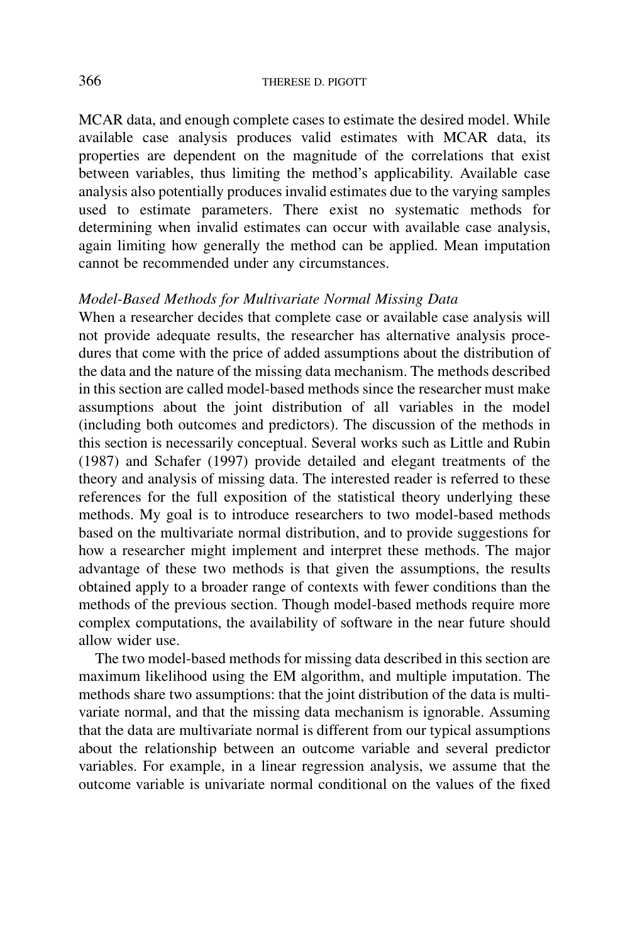MCAR data, and enough complete cases to estimate the desired model. While available case analysis produces valid estimates with MCAR data, its properties are dependent on the magnitude of the correlations that exist between variables, thus limiting the method's applicability. Available case analysis also potentially produces invalid estimates due to the varying samples used to estimate parameters. There exist no systematic methods for determining when invalid estimates can occur with available case analysis, again limiting how generally the method can be applied. Mean imputation cannot be recommended under any circumstances.

## Model-Based Methods for Multivariate Normal Missing Data

When a researcher decides that complete case or available case analysis will not provide adequate results, the researcher has alternative analysis procedures that come with the price of added assumptions about the distribution of the data and the nature of the missing data mechanism. The methods described in this section are called model-based methods since the researcher must make assumptions about the joint distribution of all variables in the model (including both outcomes and predictors). The discussion of the methods in this section is necessarily conceptual. Several works such as Little and Rubin (1987) and Schafer (1997) provide detailed and elegant treatments of the theory and analysis of missing data. The interested reader is referred to these references for the full exposition of the statistical theory underlying these methods. My goal is to introduce researchers to two model-based methods based on the multivariate normal distribution, and to provide suggestions for how a researcher might implement and interpret these methods. The major advantage of these two methods is that given the assumptions, the results obtained apply to a broader range of contexts with fewer conditions than the methods of the previous section. Though model-based methods require more complex computations, the availability of software in the near future should allow wider use.

The two model-based methods for missing data described in this section are maximum likelihood using the EM algorithm, and multiple imputation. The methods share two assumptions: that the joint distribution of the data is multivariate normal, and that the missing data mechanism is ignorable. Assuming that the data are multivariate normal is different from our typical assumptions about the relationship between an outcome variable and several predictor variables. For example, in a linear regression analysis, we assume that the outcome variable is univariate normal conditional on the values of the fixed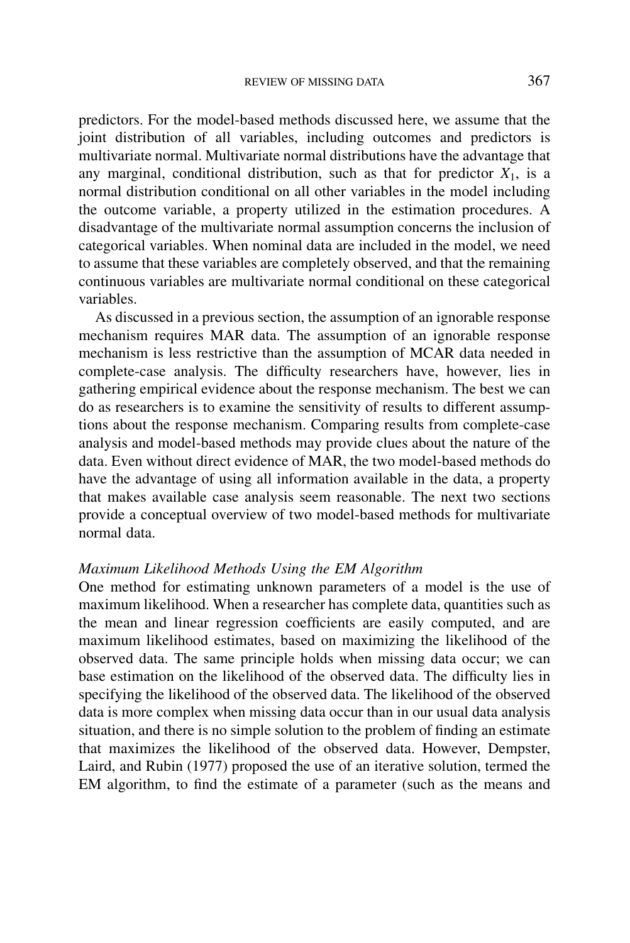predictors. For the model-based methods discussed here, we assume that the joint distribution of all variables, including outcomes and predictors is multivariate normal. Multivariate normal distributions have the advantage that any marginal, conditional distribution, such as that for predictor  $X_1$ , is a normal distribution conditional on all other variables in the model including the outcome variable, a property utilized in the estimation procedures. A disadvantage of the multivariate normal assumption concerns the inclusion of categorical variables. When nominal data are included in the model, we need to assume that these variables are completely observed, and that the remaining continuous variables are multivariate normal conditional on these categorical variables.

As discussed in a previous section, the assumption of an ignorable response mechanism requires MAR data. The assumption of an ignorable response mechanism is less restrictive than the assumption of MCAR data needed in complete-case analysis. The difficulty researchers have, however, lies in gathering empirical evidence about the response mechanism. The best we can do as researchers is to examine the sensitivity of results to different assumptions about the response mechanism. Comparing results from complete-case analysis and model-based methods may provide clues about the nature of the data. Even without direct evidence of MAR, the two model-based methods do have the advantage of using all information available in the data, a property that makes available case analysis seem reasonable. The next two sections provide a conceptual overview of two model-based methods for multivariate normal data.

## Maximum Likelihood Methods Using the EM Algorithm

One method for estimating unknown parameters of a model is the use of maximum likelihood. When a researcher has complete data, quantities such as the mean and linear regression coefficients are easily computed, and are maximum likelihood estimates, based on maximizing the likelihood of the observed data. The same principle holds when missing data occur; we can base estimation on the likelihood of the observed data. The difficulty lies in specifying the likelihood of the observed data. The likelihood of the observed data is more complex when missing data occur than in our usual data analysis situation, and there is no simple solution to the problem of finding an estimate that maximizes the likelihood of the observed data. However, Dempster, Laird, and Rubin (1977) proposed the use of an iterative solution, termed the EM algorithm, to find the estimate of a parameter (such as the means and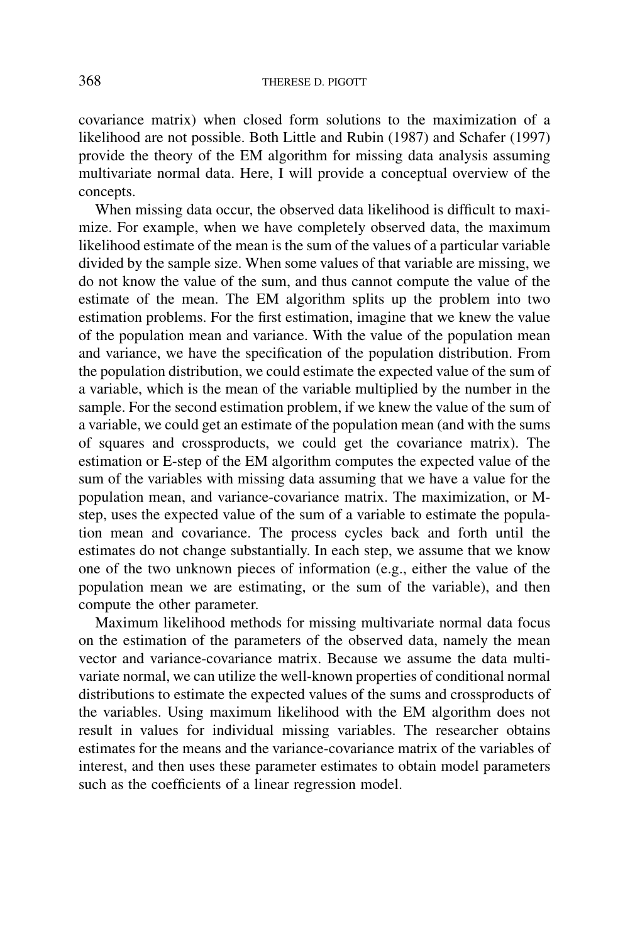covariance matrix) when closed form solutions to the maximization of a likelihood are not possible. Both Little and Rubin (1987) and Schafer (1997) provide the theory of the EM algorithm for missing data analysis assuming multivariate normal data. Here, I will provide a conceptual overview of the concepts.

When missing data occur, the observed data likelihood is difficult to maximize. For example, when we have completely observed data, the maximum likelihood estimate of the mean is the sum of the values of a particular variable divided by the sample size. When some values of that variable are missing, we do not know the value of the sum, and thus cannot compute the value of the estimate of the mean. The EM algorithm splits up the problem into two estimation problems. For the first estimation, imagine that we knew the value of the population mean and variance. With the value of the population mean and variance, we have the specification of the population distribution. From the population distribution, we could estimate the expected value of the sum of a variable, which is the mean of the variable multiplied by the number in the sample. For the second estimation problem, if we knew the value of the sum of a variable, we could get an estimate of the population mean (and with the sums of squares and crossproducts, we could get the covariance matrix). The estimation or E-step of the EM algorithm computes the expected value of the sum of the variables with missing data assuming that we have a value for the population mean, and variance-covariance matrix. The maximization, or Mstep, uses the expected value of the sum of a variable to estimate the population mean and covariance. The process cycles back and forth until the estimates do not change substantially. In each step, we assume that we know one of the two unknown pieces of information (e.g., either the value of the population mean we are estimating, or the sum of the variable), and then compute the other parameter.

Maximum likelihood methods for missing multivariate normal data focus on the estimation of the parameters of the observed data, namely the mean vector and variance-covariance matrix. Because we assume the data multivariate normal, we can utilize the well-known properties of conditional normal distributions to estimate the expected values of the sums and crossproducts of the variables. Using maximum likelihood with the EM algorithm does not result in values for individual missing variables. The researcher obtains estimates for the means and the variance-covariance matrix of the variables of interest, and then uses these parameter estimates to obtain model parameters such as the coefficients of a linear regression model.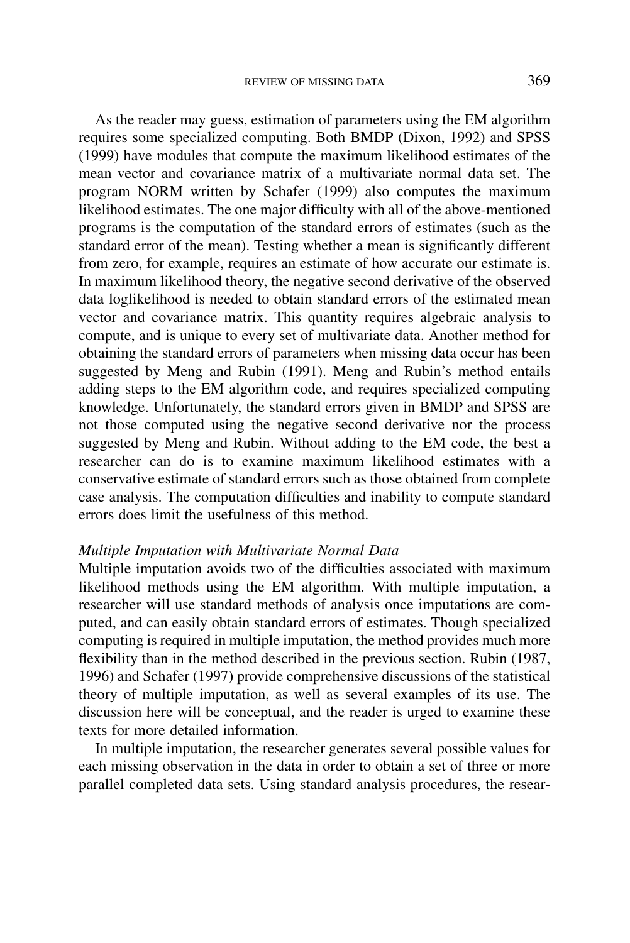As the reader may guess, estimation of parameters using the EM algorithm requires some specialized computing. Both BMDP (Dixon, 1992) and SPSS (1999) have modules that compute the maximum likelihood estimates of the mean vector and covariance matrix of a multivariate normal data set. The program NORM written by Schafer (1999) also computes the maximum likelihood estimates. The one major difficulty with all of the above-mentioned programs is the computation of the standard errors of estimates (such as the standard error of the mean). Testing whether a mean is significantly different from zero, for example, requires an estimate of how accurate our estimate is. In maximum likelihood theory, the negative second derivative of the observed data loglikelihood is needed to obtain standard errors of the estimated mean vector and covariance matrix. This quantity requires algebraic analysis to compute, and is unique to every set of multivariate data. Another method for obtaining the standard errors of parameters when missing data occur has been suggested by Meng and Rubin (1991). Meng and Rubin's method entails adding steps to the EM algorithm code, and requires specialized computing knowledge. Unfortunately, the standard errors given in BMDP and SPSS are not those computed using the negative second derivative nor the process suggested by Meng and Rubin. Without adding to the EM code, the best a researcher can do is to examine maximum likelihood estimates with a conservative estimate of standard errors such as those obtained from complete case analysis. The computation difficulties and inability to compute standard errors does limit the usefulness of this method.

## Multiple Imputation with Multivariate Normal Data

Multiple imputation avoids two of the difficulties associated with maximum likelihood methods using the EM algorithm. With multiple imputation, a researcher will use standard methods of analysis once imputations are computed, and can easily obtain standard errors of estimates. Though specialized computing is required in multiple imputation, the method provides much more flexibility than in the method described in the previous section. Rubin (1987, 1996) and Schafer (1997) provide comprehensive discussions of the statistical theory of multiple imputation, as well as several examples of its use. The discussion here will be conceptual, and the reader is urged to examine these texts for more detailed information.

In multiple imputation, the researcher generates several possible values for each missing observation in the data in order to obtain a set of three or more parallel completed data sets. Using standard analysis procedures, the resear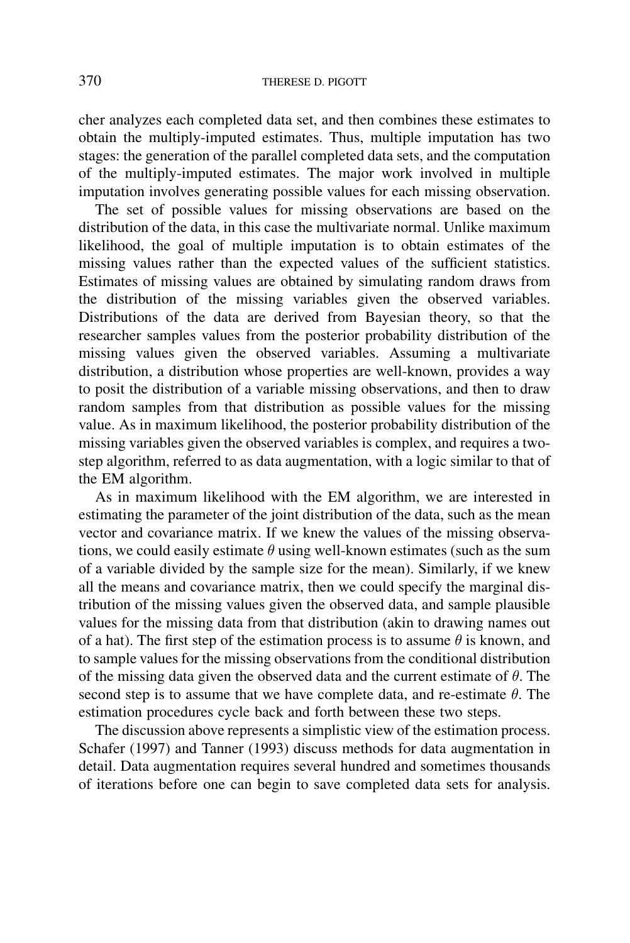cher analyzes each completed data set, and then combines these estimates to obtain the multiply-imputed estimates. Thus, multiple imputation has two stages: the generation of the parallel completed data sets, and the computation of the multiply-imputed estimates. The major work involved in multiple imputation involves generating possible values for each missing observation.

The set of possible values for missing observations are based on the distribution of the data, in this case the multivariate normal. Unlike maximum likelihood, the goal of multiple imputation is to obtain estimates of the missing values rather than the expected values of the sufficient statistics. Estimates of missing values are obtained by simulating random draws from the distribution of the missing variables given the observed variables. Distributions of the data are derived from Bayesian theory, so that the researcher samples values from the posterior probability distribution of the missing values given the observed variables. Assuming a multivariate distribution, a distribution whose properties are well-known, provides a way to posit the distribution of a variable missing observations, and then to draw random samples from that distribution as possible values for the missing value. As in maximum likelihood, the posterior probability distribution of the missing variables given the observed variables is complex, and requires a twostep algorithm, referred to as data augmentation, with a logic similar to that of the EM algorithm.

As in maximum likelihood with the EM algorithm, we are interested in estimating the parameter of the joint distribution of the data, such as the mean vector and covariance matrix. If we knew the values of the missing observations, we could easily estimate  $\theta$  using well-known estimates (such as the sum of a variable divided by the sample size for the mean). Similarly, if we knew all the means and covariance matrix, then we could specify the marginal distribution of the missing values given the observed data, and sample plausible values for the missing data from that distribution (akin to drawing names out of a hat). The first step of the estimation process is to assume  $\theta$  is known, and to sample values for the missing observations from the conditional distribution of the missing data given the observed data and the current estimate of  $\theta$ . The second step is to assume that we have complete data, and re-estimate  $\theta$ . The estimation procedures cycle back and forth between these two steps.

The discussion above represents a simplistic view of the estimation process. Schafer (1997) and Tanner (1993) discuss methods for data augmentation in detail. Data augmentation requires several hundred and sometimes thousands of iterations before one can begin to save completed data sets for analysis.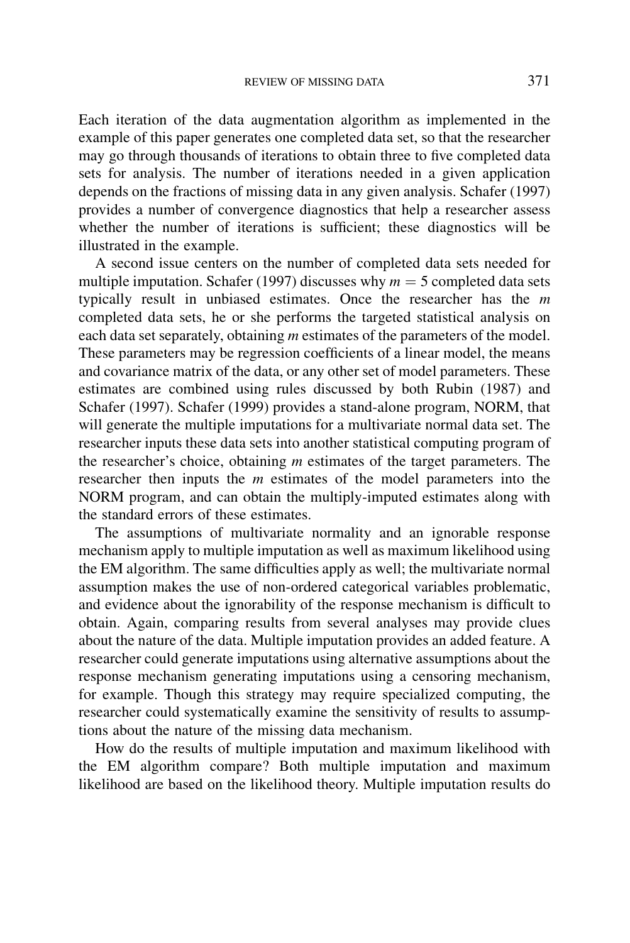Each iteration of the data augmentation algorithm as implemented in the example of this paper generates one completed data set, so that the researcher may go through thousands of iterations to obtain three to five completed data sets for analysis. The number of iterations needed in a given application depends on the fractions of missing data in any given analysis. Schafer (1997) provides a number of convergence diagnostics that help a researcher assess whether the number of iterations is sufficient; these diagnostics will be illustrated in the example.

A second issue centers on the number of completed data sets needed for multiple imputation. Schafer (1997) discusses why  $m = 5$  completed data sets typically result in unbiased estimates. Once the researcher has the  $m$ completed data sets, he or she performs the targeted statistical analysis on each data set separately, obtaining m estimates of the parameters of the model. These parameters may be regression coefficients of a linear model, the means and covariance matrix of the data, or any other set of model parameters. These estimates are combined using rules discussed by both Rubin (1987) and Schafer (1997). Schafer (1999) provides a stand-alone program, NORM, that will generate the multiple imputations for a multivariate normal data set. The researcher inputs these data sets into another statistical computing program of the researcher's choice, obtaining m estimates of the target parameters. The researcher then inputs the *m* estimates of the model parameters into the NORM program, and can obtain the multiply-imputed estimates along with the standard errors of these estimates.

The assumptions of multivariate normality and an ignorable response mechanism apply to multiple imputation as well as maximum likelihood using the EM algorithm. The same difficulties apply as well; the multivariate normal assumption makes the use of non-ordered categorical variables problematic, and evidence about the ignorability of the response mechanism is difficult to obtain. Again, comparing results from several analyses may provide clues about the nature of the data. Multiple imputation provides an added feature. A researcher could generate imputations using alternative assumptions about the response mechanism generating imputations using a censoring mechanism, for example. Though this strategy may require specialized computing, the researcher could systematically examine the sensitivity of results to assumptions about the nature of the missing data mechanism.

How do the results of multiple imputation and maximum likelihood with the EM algorithm compare? Both multiple imputation and maximum likelihood are based on the likelihood theory. Multiple imputation results do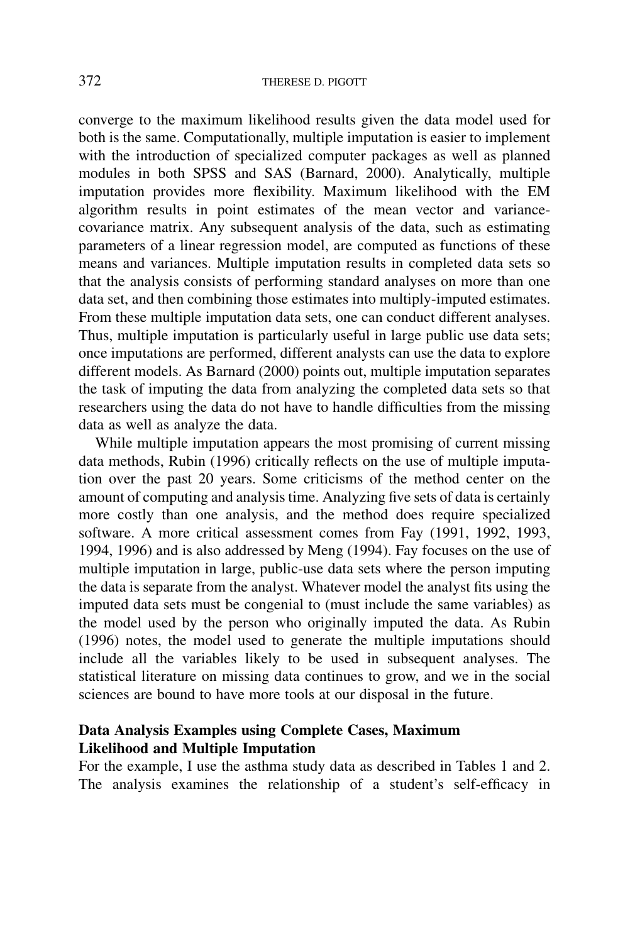converge to the maximum likelihood results given the data model used for both is the same. Computationally, multiple imputation is easier to implement with the introduction of specialized computer packages as well as planned modules in both SPSS and SAS (Barnard, 2000). Analytically, multiple imputation provides more flexibility. Maximum likelihood with the EM algorithm results in point estimates of the mean vector and variancecovariance matrix. Any subsequent analysis of the data, such as estimating parameters of a linear regression model, are computed as functions of these means and variances. Multiple imputation results in completed data sets so that the analysis consists of performing standard analyses on more than one data set, and then combining those estimates into multiply-imputed estimates. From these multiple imputation data sets, one can conduct different analyses. Thus, multiple imputation is particularly useful in large public use data sets; once imputations are performed, different analysts can use the data to explore different models. As Barnard (2000) points out, multiple imputation separates the task of imputing the data from analyzing the completed data sets so that researchers using the data do not have to handle difficulties from the missing data as well as analyze the data.

While multiple imputation appears the most promising of current missing data methods, Rubin (1996) critically reflects on the use of multiple imputation over the past 20 years. Some criticisms of the method center on the amount of computing and analysis time. Analyzing five sets of data is certainly more costly than one analysis, and the method does require specialized software. A more critical assessment comes from Fay (1991, 1992, 1993, 1994, 1996) and is also addressed by Meng (1994). Fay focuses on the use of multiple imputation in large, public-use data sets where the person imputing the data is separate from the analyst. Whatever model the analyst fits using the imputed data sets must be congenial to (must include the same variables) as the model used by the person who originally imputed the data. As Rubin (1996) notes, the model used to generate the multiple imputations should include all the variables likely to be used in subsequent analyses. The statistical literature on missing data continues to grow, and we in the social sciences are bound to have more tools at our disposal in the future.

## Data Analysis Examples using Complete Cases, Maximum Likelihood and Multiple Imputation

For the example, I use the asthma study data as described in Tables 1 and 2. The analysis examines the relationship of a student's self-efficacy in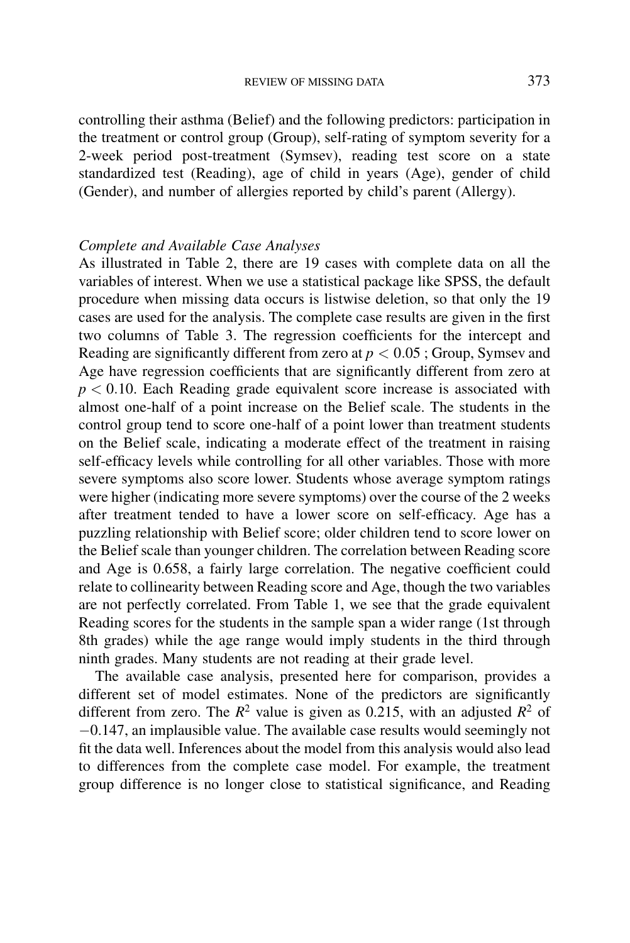controlling their asthma (Belief) and the following predictors: participation in the treatment or control group (Group), self-rating of symptom severity for a 2-week period post-treatment (Symsev), reading test score on a state standardized test (Reading), age of child in years (Age), gender of child (Gender), and number of allergies reported by child's parent (Allergy).

## Complete and Available Case Analyses

As illustrated in Table 2, there are 19 cases with complete data on all the variables of interest. When we use a statistical package like SPSS, the default procedure when missing data occurs is listwise deletion, so that only the 19 cases are used for the analysis. The complete case results are given in the first two columns of Table 3. The regression coefficients for the intercept and Reading are significantly different from zero at  $p < 0.05$ ; Group, Symsev and Age have regression coefficients that are significantly different from zero at  $p < 0.10$ . Each Reading grade equivalent score increase is associated with almost one-half of a point increase on the Belief scale. The students in the control group tend to score one-half of a point lower than treatment students on the Belief scale, indicating a moderate effect of the treatment in raising self-efficacy levels while controlling for all other variables. Those with more severe symptoms also score lower. Students whose average symptom ratings were higher (indicating more severe symptoms) over the course of the 2 weeks after treatment tended to have a lower score on self-efficacy. Age has a puzzling relationship with Belief score; older children tend to score lower on the Belief scale than younger children. The correlation between Reading score and Age is 0.658, a fairly large correlation. The negative coefficient could relate to collinearity between Reading score and Age, though the two variables are not perfectly correlated. From Table 1, we see that the grade equivalent Reading scores for the students in the sample span a wider range (1st through 8th grades) while the age range would imply students in the third through ninth grades. Many students are not reading at their grade level.

The available case analysis, presented here for comparison, provides a different set of model estimates. None of the predictors are significantly different from zero. The  $R^2$  value is given as 0.215, with an adjusted  $R^2$  of  $\sim$  0.147, an implausible value. The available case results would seemingly not fit the data well. Inferences about the model from this analysis would also lead to differences from the complete case model. For example, the treatment group difference is no longer close to statistical significance, and Reading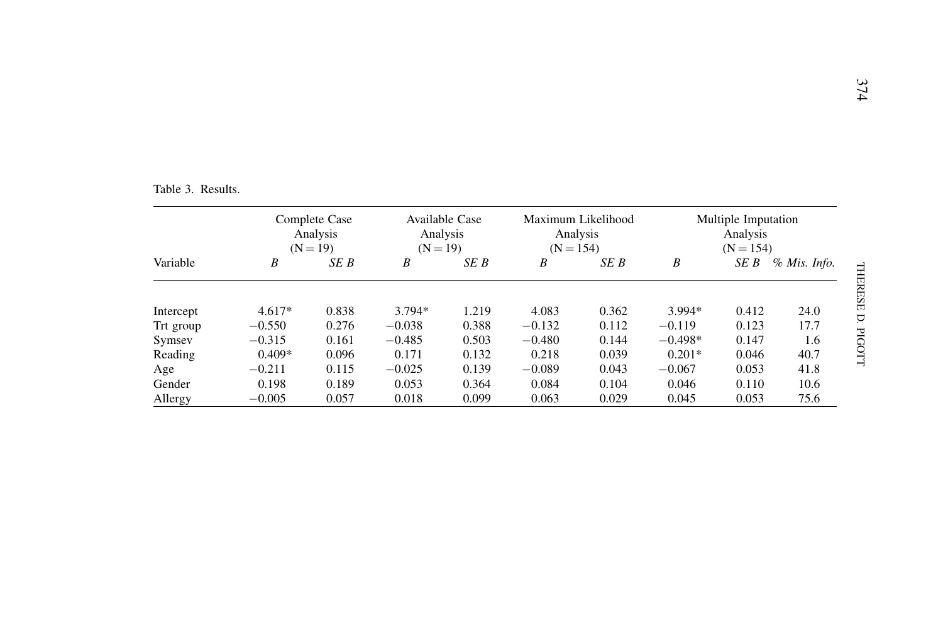|  |  |  | Table 3. Results. |
|--|--|--|-------------------|
|--|--|--|-------------------|

|           |          | Available Case<br>Complete Case<br>Analysis<br>Analysis<br>$(N = 19)$<br>$(N = 19)$ |          |       | Maximum Likelihood<br>Analysis<br>$(N = 154)$ |       | Multiple Imputation<br>Analysis<br>$(N = 154)$ |       |                |
|-----------|----------|-------------------------------------------------------------------------------------|----------|-------|-----------------------------------------------|-------|------------------------------------------------|-------|----------------|
| Variable  | B        | SE B                                                                                | B        | SE B  | B                                             | SE B  | B                                              | SE B  | $%$ Mis. Info. |
| Intercept | $4.617*$ | 0.838                                                                               | $3.794*$ | 1.219 | 4.083                                         | 0.362 | 3.994*                                         | 0.412 | 24.0           |
| Trt group | $-0.550$ | 0.276                                                                               | $-0.038$ | 0.388 | $-0.132$                                      | 0.112 | $-0.119$                                       | 0.123 | 17.7           |
| Symsey    | $-0.315$ | 0.161                                                                               | $-0.485$ | 0.503 | $-0.480$                                      | 0.144 | $-0.498*$                                      | 0.147 | 1.6            |
| Reading   | $0.409*$ | 0.096                                                                               | 0.171    | 0.132 | 0.218                                         | 0.039 | $0.201*$                                       | 0.046 | 40.7           |
| Age       | $-0.211$ | 0.115                                                                               | $-0.025$ | 0.139 | $-0.089$                                      | 0.043 | $-0.067$                                       | 0.053 | 41.8           |
| Gender    | 0.198    | 0.189                                                                               | 0.053    | 0.364 | 0.084                                         | 0.104 | 0.046                                          | 0.110 | 10.6           |
| Allergy   | $-0.005$ | 0.057                                                                               | 0.018    | 0.099 | 0.063                                         | 0.029 | 0.045                                          | 0.053 | 75.6           |

THERESE D. PIGOTT THERESE D. PIGOTT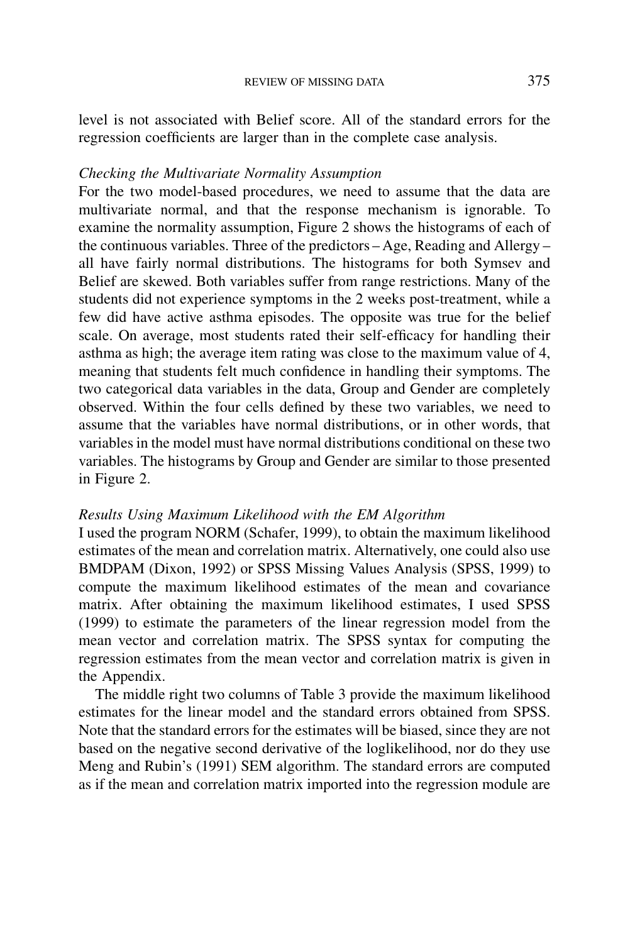level is not associated with Belief score. All of the standard errors for the regression coefficients are larger than in the complete case analysis.

## Checking the Multivariate Normality Assumption

For the two model-based procedures, we need to assume that the data are multivariate normal, and that the response mechanism is ignorable. To examine the normality assumption, Figure 2 shows the histograms of each of the continuous variables. Three of the predictors  $-A$ ge, Reading and Allergy  $$ all have fairly normal distributions. The histograms for both Symsev and Belief are skewed. Both variables suffer from range restrictions. Many of the students did not experience symptoms in the 2 weeks post-treatment, while a few did have active asthma episodes. The opposite was true for the belief scale. On average, most students rated their self-efficacy for handling their asthma as high; the average item rating was close to the maximum value of 4, meaning that students felt much confidence in handling their symptoms. The two categorical data variables in the data, Group and Gender are completely observed. Within the four cells defined by these two variables, we need to assume that the variables have normal distributions, or in other words, that variables in the model must have normal distributions conditional on these two variables. The histograms by Group and Gender are similar to those presented in Figure 2.

#### Results Using Maximum Likelihood with the EM Algorithm

I used the program NORM (Schafer, 1999), to obtain the maximum likelihood estimates of the mean and correlation matrix. Alternatively, one could also use BMDPAM (Dixon, 1992) or SPSS Missing Values Analysis (SPSS, 1999) to compute the maximum likelihood estimates of the mean and covariance matrix. After obtaining the maximum likelihood estimates, I used SPSS (1999) to estimate the parameters of the linear regression model from the mean vector and correlation matrix. The SPSS syntax for computing the regression estimates from the mean vector and correlation matrix is given in the Appendix.

The middle right two columns of Table 3 provide the maximum likelihood estimates for the linear model and the standard errors obtained from SPSS. Note that the standard errors for the estimates will be biased, since they are not based on the negative second derivative of the loglikelihood, nor do they use Meng and Rubin's (1991) SEM algorithm. The standard errors are computed as if the mean and correlation matrix imported into the regression module are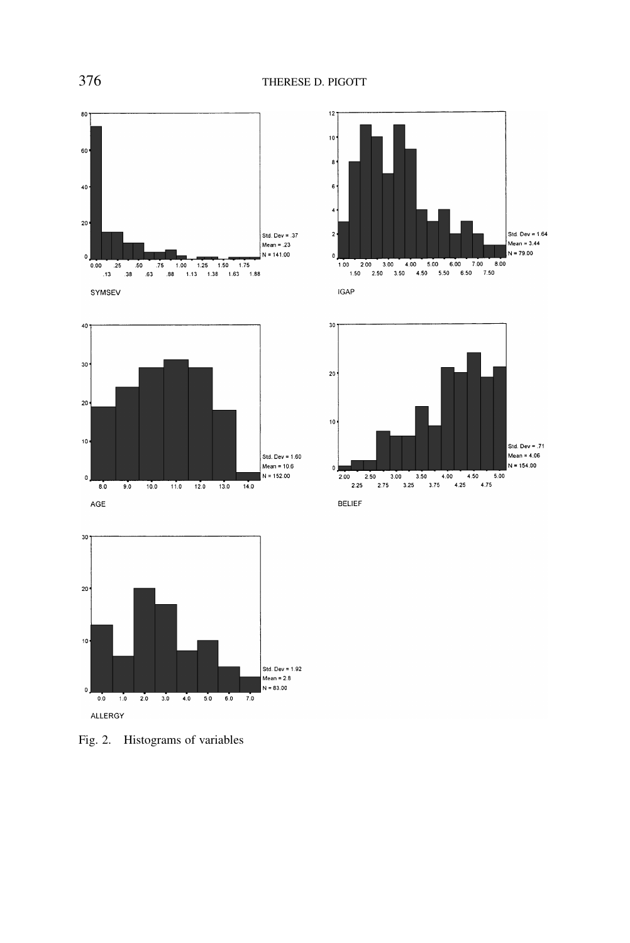







Std. Dev = 1.60  $Mean = 10.6$ 

 $N = 152.00$ 

 $14.0$ 

 $13.0$ 



Fig. 2. Histograms of variables

 $10.0$ 

 $11.0$ 

 $12.0$ 

 $10<sub>1</sub>$ 

 $\pmb{\mathtt{o}}$ 

 $8.0$  $9.0$ 

AGE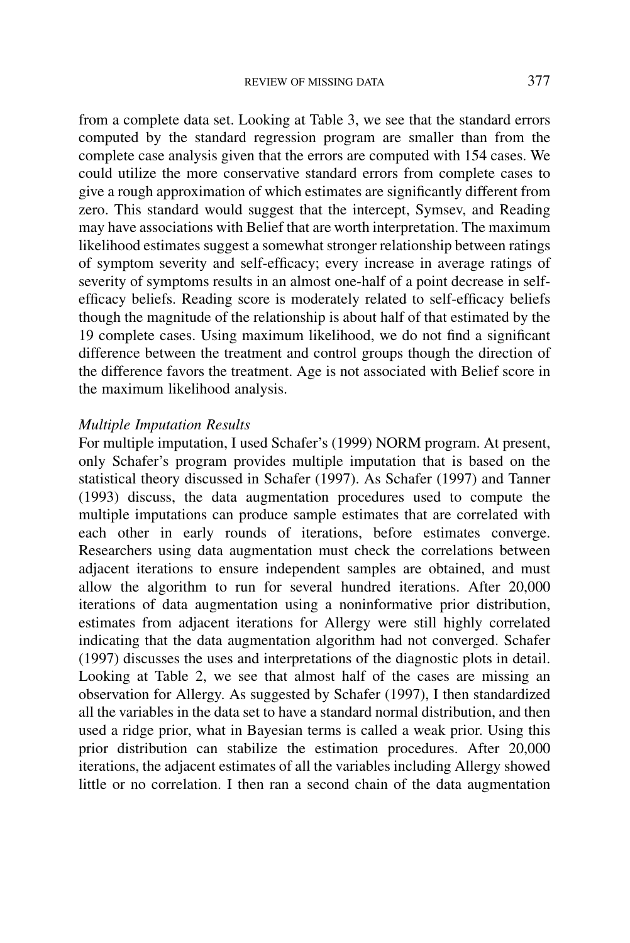from a complete data set. Looking at Table 3, we see that the standard errors computed by the standard regression program are smaller than from the complete case analysis given that the errors are computed with 154 cases. We could utilize the more conservative standard errors from complete cases to give a rough approximation of which estimates are significantly different from zero. This standard would suggest that the intercept, Symsev, and Reading may have associations with Belief that are worth interpretation. The maximum likelihood estimates suggest a somewhat stronger relationship between ratings of symptom severity and self-efficacy; every increase in average ratings of severity of symptoms results in an almost one-half of a point decrease in selfefficacy beliefs. Reading score is moderately related to self-efficacy beliefs though the magnitude of the relationship is about half of that estimated by the 19 complete cases. Using maximum likelihood, we do not find a significant difference between the treatment and control groups though the direction of the difference favors the treatment. Age is not associated with Belief score in the maximum likelihood analysis.

#### Multiple Imputation Results

For multiple imputation, I used Schafer's (1999) NORM program. At present, only Schafer's program provides multiple imputation that is based on the statistical theory discussed in Schafer (1997). As Schafer (1997) and Tanner (1993) discuss, the data augmentation procedures used to compute the multiple imputations can produce sample estimates that are correlated with each other in early rounds of iterations, before estimates converge. Researchers using data augmentation must check the correlations between adjacent iterations to ensure independent samples are obtained, and must allow the algorithm to run for several hundred iterations. After 20,000 iterations of data augmentation using a noninformative prior distribution, estimates from adjacent iterations for Allergy were still highly correlated indicating that the data augmentation algorithm had not converged. Schafer (1997) discusses the uses and interpretations of the diagnostic plots in detail. Looking at Table 2, we see that almost half of the cases are missing an observation for Allergy. As suggested by Schafer (1997), I then standardized all the variables in the data set to have a standard normal distribution, and then used a ridge prior, what in Bayesian terms is called a weak prior. Using this prior distribution can stabilize the estimation procedures. After 20,000 iterations, the adjacent estimates of all the variables including Allergy showed little or no correlation. I then ran a second chain of the data augmentation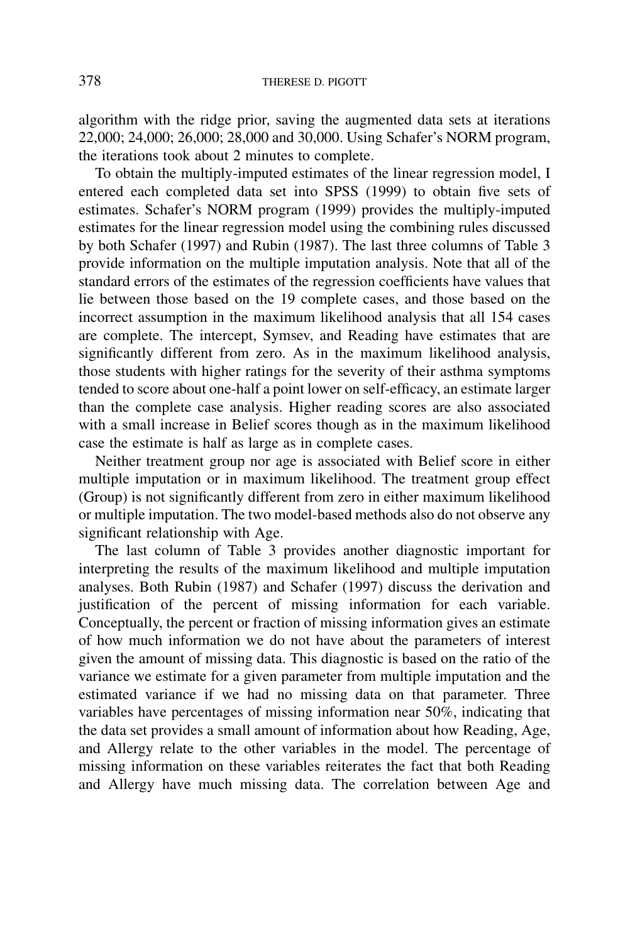algorithm with the ridge prior, saving the augmented data sets at iterations 22,000; 24,000; 26,000; 28,000 and 30,000. Using Schafer's NORM program, the iterations took about 2 minutes to complete.

To obtain the multiply-imputed estimates of the linear regression model, I entered each completed data set into SPSS (1999) to obtain five sets of estimates. Schafer's NORM program (1999) provides the multiply-imputed estimates for the linear regression model using the combining rules discussed by both Schafer (1997) and Rubin (1987). The last three columns of Table 3 provide information on the multiple imputation analysis. Note that all of the standard errors of the estimates of the regression coefficients have values that lie between those based on the 19 complete cases, and those based on the incorrect assumption in the maximum likelihood analysis that all 154 cases are complete. The intercept, Symsev, and Reading have estimates that are significantly different from zero. As in the maximum likelihood analysis, those students with higher ratings for the severity of their asthma symptoms tended to score about one-half a point lower on self-efficacy, an estimate larger than the complete case analysis. Higher reading scores are also associated with a small increase in Belief scores though as in the maximum likelihood case the estimate is half as large as in complete cases.

Neither treatment group nor age is associated with Belief score in either multiple imputation or in maximum likelihood. The treatment group effect (Group) is not significantly different from zero in either maximum likelihood or multiple imputation. The two model-based methods also do not observe any significant relationship with Age.

The last column of Table 3 provides another diagnostic important for interpreting the results of the maximum likelihood and multiple imputation analyses. Both Rubin (1987) and Schafer (1997) discuss the derivation and justification of the percent of missing information for each variable. Conceptually, the percent or fraction of missing information gives an estimate of how much information we do not have about the parameters of interest given the amount of missing data. This diagnostic is based on the ratio of the variance we estimate for a given parameter from multiple imputation and the estimated variance if we had no missing data on that parameter. Three variables have percentages of missing information near 50%, indicating that the data set provides a small amount of information about how Reading, Age, and Allergy relate to the other variables in the model. The percentage of missing information on these variables reiterates the fact that both Reading and Allergy have much missing data. The correlation between Age and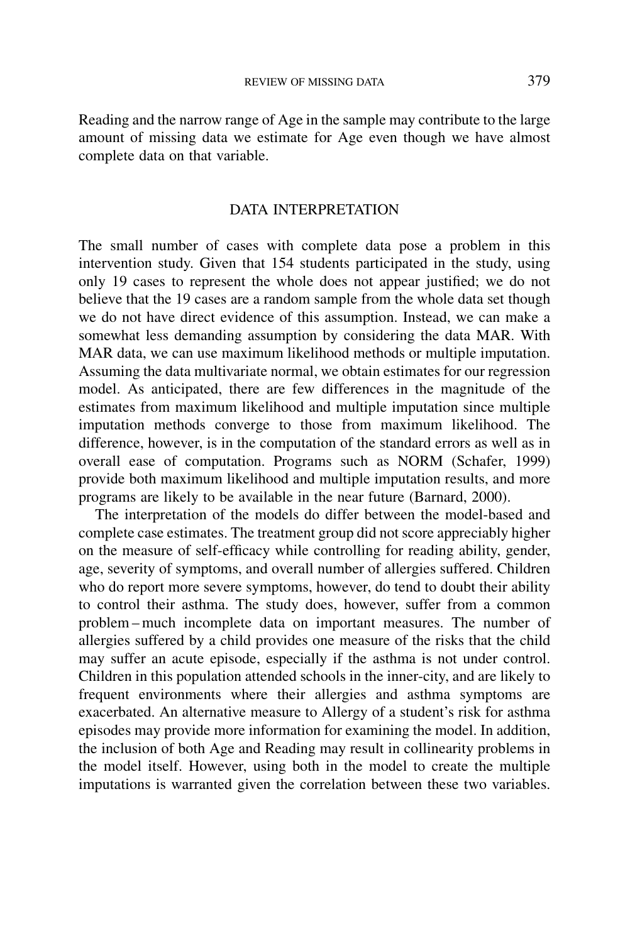Reading and the narrow range of Age in the sample may contribute to the large amount of missing data we estimate for Age even though we have almost complete data on that variable.

## DATA INTERPRETATION

The small number of cases with complete data pose a problem in this intervention study. Given that 154 students participated in the study, using only 19 cases to represent the whole does not appear justified; we do not believe that the 19 cases are a random sample from the whole data set though we do not have direct evidence of this assumption. Instead, we can make a somewhat less demanding assumption by considering the data MAR. With MAR data, we can use maximum likelihood methods or multiple imputation. Assuming the data multivariate normal, we obtain estimates for our regression model. As anticipated, there are few differences in the magnitude of the estimates from maximum likelihood and multiple imputation since multiple imputation methods converge to those from maximum likelihood. The difference, however, is in the computation of the standard errors as well as in overall ease of computation. Programs such as NORM (Schafer, 1999) provide both maximum likelihood and multiple imputation results, and more programs are likely to be available in the near future (Barnard, 2000).

The interpretation of the models do differ between the model-based and complete case estimates. The treatment group did not score appreciably higher on the measure of self-efficacy while controlling for reading ability, gender, age, severity of symptoms, and overall number of allergies suffered. Children who do report more severe symptoms, however, do tend to doubt their ability to control their asthma. The study does, however, suffer from a common problem – much incomplete data on important measures. The number of allergies suffered by a child provides one measure of the risks that the child may suffer an acute episode, especially if the asthma is not under control. Children in this population attended schools in the inner-city, and are likely to frequent environments where their allergies and asthma symptoms are exacerbated. An alternative measure to Allergy of a student's risk for asthma episodes may provide more information for examining the model. In addition, the inclusion of both Age and Reading may result in collinearity problems in the model itself. However, using both in the model to create the multiple imputations is warranted given the correlation between these two variables.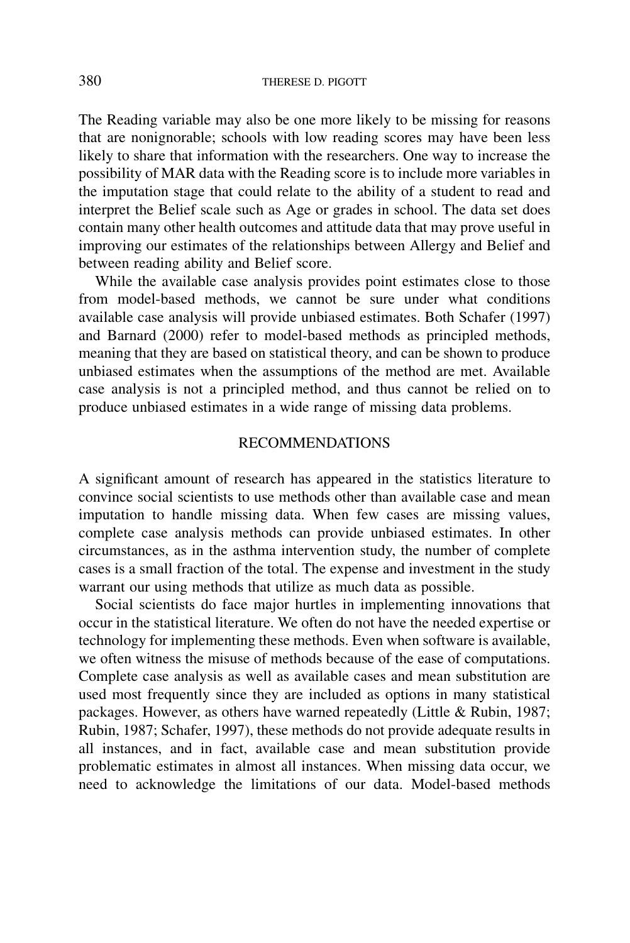The Reading variable may also be one more likely to be missing for reasons that are nonignorable; schools with low reading scores may have been less likely to share that information with the researchers. One way to increase the possibility of MAR data with the Reading score is to include more variables in the imputation stage that could relate to the ability of a student to read and interpret the Belief scale such as Age or grades in school. The data set does contain many other health outcomes and attitude data that may prove useful in improving our estimates of the relationships between Allergy and Belief and between reading ability and Belief score.

While the available case analysis provides point estimates close to those from model-based methods, we cannot be sure under what conditions available case analysis will provide unbiased estimates. Both Schafer (1997) and Barnard (2000) refer to model-based methods as principled methods, meaning that they are based on statistical theory, and can be shown to produce unbiased estimates when the assumptions of the method are met. Available case analysis is not a principled method, and thus cannot be relied on to produce unbiased estimates in a wide range of missing data problems.

## RECOMMENDATIONS

A significant amount of research has appeared in the statistics literature to convince social scientists to use methods other than available case and mean imputation to handle missing data. When few cases are missing values, complete case analysis methods can provide unbiased estimates. In other circumstances, as in the asthma intervention study, the number of complete cases is a small fraction of the total. The expense and investment in the study warrant our using methods that utilize as much data as possible.

Social scientists do face major hurtles in implementing innovations that occur in the statistical literature. We often do not have the needed expertise or technology for implementing these methods. Even when software is available, we often witness the misuse of methods because of the ease of computations. Complete case analysis as well as available cases and mean substitution are used most frequently since they are included as options in many statistical packages. However, as others have warned repeatedly (Little & Rubin, 1987; Rubin, 1987; Schafer, 1997), these methods do not provide adequate results in all instances, and in fact, available case and mean substitution provide problematic estimates in almost all instances. When missing data occur, we need to acknowledge the limitations of our data. Model-based methods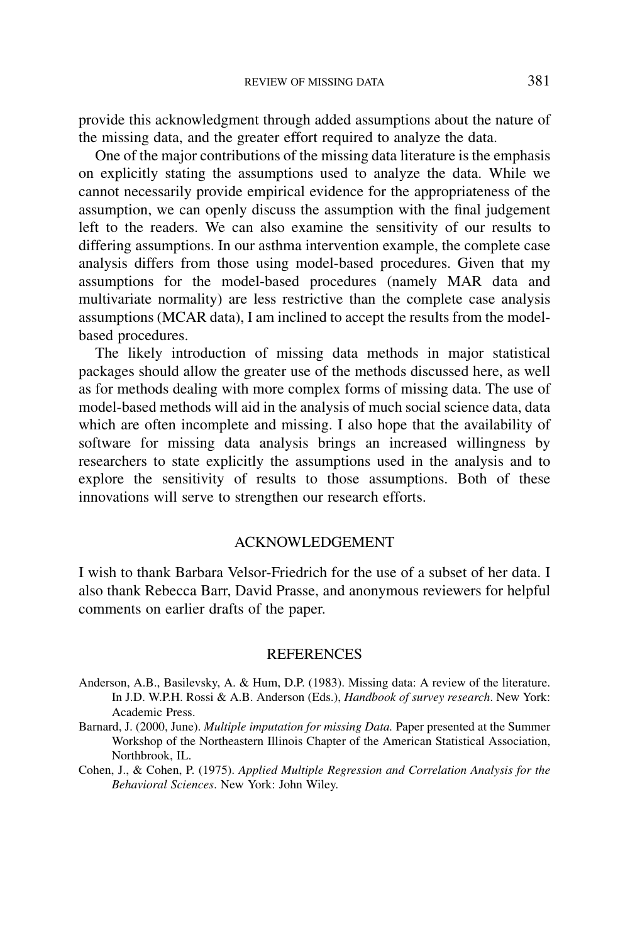provide this acknowledgment through added assumptions about the nature of the missing data, and the greater effort required to analyze the data.

One of the major contributions of the missing data literature is the emphasis on explicitly stating the assumptions used to analyze the data. While we cannot necessarily provide empirical evidence for the appropriateness of the assumption, we can openly discuss the assumption with the final judgement left to the readers. We can also examine the sensitivity of our results to differing assumptions. In our asthma intervention example, the complete case analysis differs from those using model-based procedures. Given that my assumptions for the model-based procedures (namely MAR data and multivariate normality) are less restrictive than the complete case analysis assumptions (MCAR data), I am inclined to accept the results from the modelbased procedures.

The likely introduction of missing data methods in major statistical packages should allow the greater use of the methods discussed here, as well as for methods dealing with more complex forms of missing data. The use of model-based methods will aid in the analysis of much social science data, data which are often incomplete and missing. I also hope that the availability of software for missing data analysis brings an increased willingness by researchers to state explicitly the assumptions used in the analysis and to explore the sensitivity of results to those assumptions. Both of these innovations will serve to strengthen our research efforts.

#### ACKNOWLEDGEMENT

I wish to thank Barbara Velsor-Friedrich for the use of a subset of her data. I also thank Rebecca Barr, David Prasse, and anonymous reviewers for helpful comments on earlier drafts of the paper.

#### **REFERENCES**

- Anderson, A.B., Basilevsky, A. & Hum, D.P. (1983). Missing data: A review of the literature. In J.D. W.P.H. Rossi & A.B. Anderson (Eds.), Handbook of survey research. New York: Academic Press.
- Barnard, J. (2000, June). Multiple imputation for missing Data. Paper presented at the Summer Workshop of the Northeastern Illinois Chapter of the American Statistical Association, Northbrook, IL.

Cohen, J., & Cohen, P. (1975). Applied Multiple Regression and Correlation Analysis for the Behavioral Sciences. New York: John Wiley.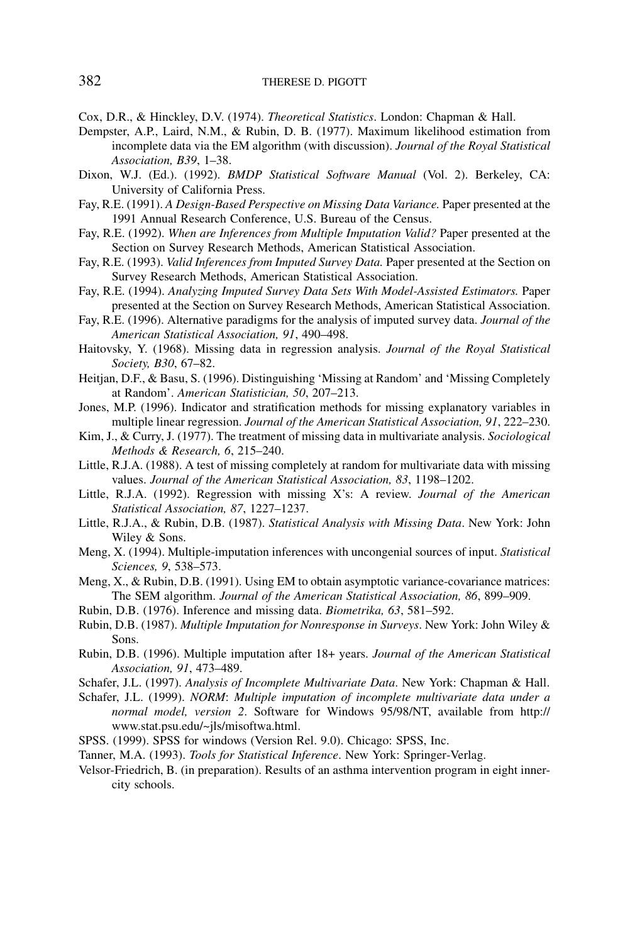Cox, D.R., & Hinckley, D.V. (1974). Theoretical Statistics. London: Chapman & Hall.

- Dempster, A.P., Laird, N.M., & Rubin, D. B. (1977). Maximum likelihood estimation from incomplete data via the EM algorithm (with discussion). Journal of the Royal Statistical Association, B39, 1-38.
- Dixon, W.J. (Ed.). (1992). BMDP Statistical Software Manual (Vol. 2). Berkeley, CA: University of California Press.
- Fay, R.E. (1991). A Design-Based Perspective on Missing Data Variance. Paper presented at the 1991 Annual Research Conference, U.S. Bureau of the Census.
- Fay, R.E. (1992). When are Inferences from Multiple Imputation Valid? Paper presented at the Section on Survey Research Methods, American Statistical Association.
- Fay, R.E. (1993). Valid Inferences from Imputed Survey Data. Paper presented at the Section on Survey Research Methods, American Statistical Association.
- Fay, R.E. (1994). Analyzing Imputed Survey Data Sets With Model-Assisted Estimators. Paper presented at the Section on Survey Research Methods, American Statistical Association.
- Fay, R.E. (1996). Alternative paradigms for the analysis of imputed survey data. Journal of the American Statistical Association, 91, 490-498.
- Haitovsky, Y. (1968). Missing data in regression analysis. Journal of the Royal Statistical Society, B30, 67-82.
- Heitjan, D.F., & Basu, S. (1996). Distinguishing 'Missing at Random' and 'Missing Completely at Random'. American Statistician, 50, 207-213.
- Jones, M.P. (1996). Indicator and stratification methods for missing explanatory variables in multiple linear regression. Journal of the American Statistical Association, 91, 222-230.
- Kim, J., & Curry, J. (1977). The treatment of missing data in multivariate analysis. Sociological Methods & Research, 6, 215-240.
- Little, R.J.A. (1988). A test of missing completely at random for multivariate data with missing values. Journal of the American Statistical Association, 83, 1198-1202.
- Little, R.J.A. (1992). Regression with missing X's: A review. Journal of the American Statistical Association, 87, 1227-1237.
- Little, R.J.A., & Rubin, D.B. (1987). Statistical Analysis with Missing Data. New York: John Wiley & Sons.
- Meng, X. (1994). Multiple-imputation inferences with uncongenial sources of input. Statistical Sciences, 9, 538-573.
- Meng, X., & Rubin, D.B. (1991). Using EM to obtain asymptotic variance-covariance matrices: The SEM algorithm. Journal of the American Statistical Association, 86, 899–909.
- Rubin, D.B. (1976). Inference and missing data. Biometrika, 63, 581-592.
- Rubin, D.B. (1987). Multiple Imputation for Nonresponse in Surveys. New York: John Wiley & Sons.
- Rubin, D.B. (1996). Multiple imputation after 18+ years. Journal of the American Statistical Association, 91, 473-489.
- Schafer, J.L. (1997). Analysis of Incomplete Multivariate Data. New York: Chapman & Hall.
- Schafer, J.L. (1999). NORM: Multiple imputation of incomplete multivariate data under a normal model, version 2. Software for Windows 95/98/NT, available from http:// www.stat.psu.edu/~jls/misoftwa.html.
- SPSS. (1999). SPSS for windows (Version Rel. 9.0). Chicago: SPSS, Inc.
- Tanner, M.A. (1993). Tools for Statistical Inference. New York: Springer-Verlag.
- Velsor-Friedrich, B. (in preparation). Results of an asthma intervention program in eight innercity schools.